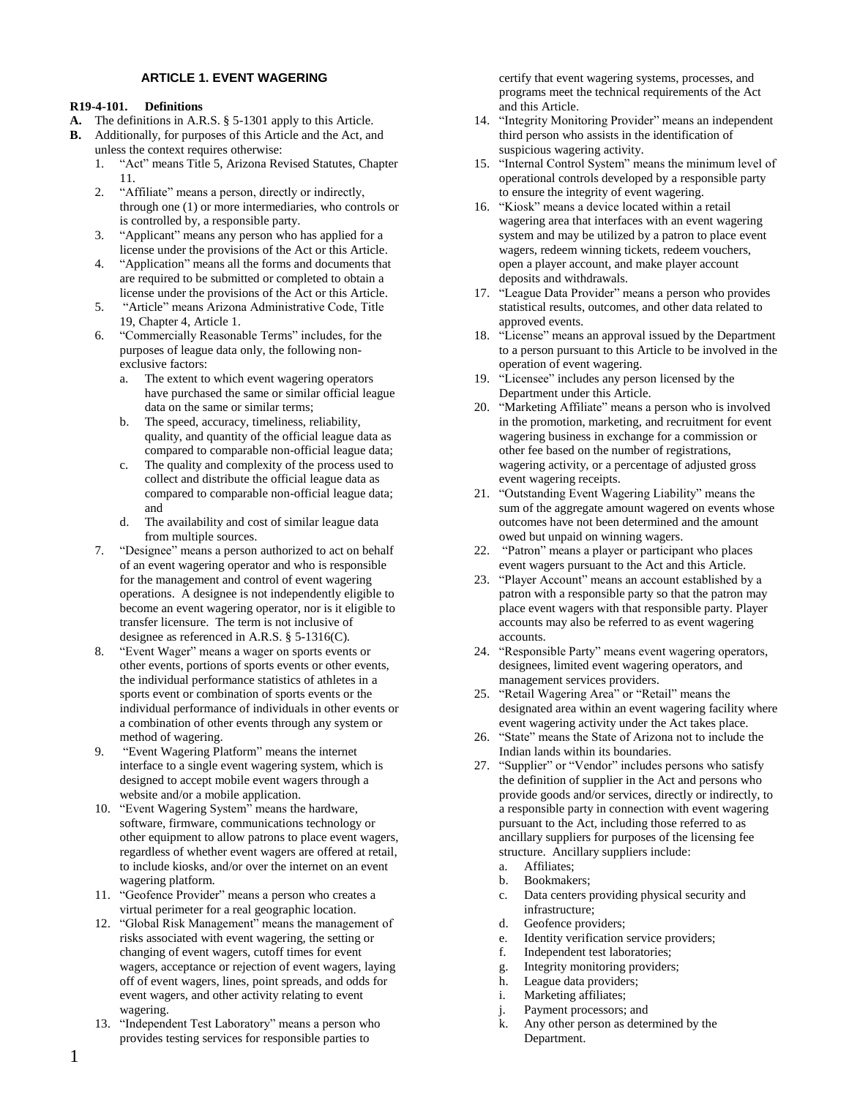# **ARTICLE 1. EVENT WAGERING**

## **R19-4-101. Definitions**

- **A.** The definitions in A.R.S. § 5-1301 apply to this Article.
- **B.** Additionally, for purposes of this Article and the Act, and unless the context requires otherwise:
	- 1. "Act" means Title 5, Arizona Revised Statutes, Chapter 11.
	- 2. "Affiliate" means a person, directly or indirectly, through one (1) or more intermediaries, who controls or is controlled by, a responsible party.
	- 3. "Applicant" means any person who has applied for a license under the provisions of the Act or this Article.
	- 4. "Application" means all the forms and documents that are required to be submitted or completed to obtain a license under the provisions of the Act or this Article.
	- 5. "Article" means Arizona Administrative Code, Title 19, Chapter 4, Article 1.
	- 6. "Commercially Reasonable Terms" includes, for the purposes of league data only, the following nonexclusive factors:
		- a. The extent to which event wagering operators have purchased the same or similar official league data on the same or similar terms;
		- b. The speed, accuracy, timeliness, reliability, quality, and quantity of the official league data as compared to comparable non-official league data;
		- c. The quality and complexity of the process used to collect and distribute the official league data as compared to comparable non-official league data; and
		- d. The availability and cost of similar league data from multiple sources.
	- 7. "Designee" means a person authorized to act on behalf of an event wagering operator and who is responsible for the management and control of event wagering operations. A designee is not independently eligible to become an event wagering operator, nor is it eligible to transfer licensure. The term is not inclusive of designee as referenced in A.R.S. § 5-1316(C).
	- 8. "Event Wager" means a wager on sports events or other events, portions of sports events or other events, the individual performance statistics of athletes in a sports event or combination of sports events or the individual performance of individuals in other events or a combination of other events through any system or method of wagering.
	- 9. "Event Wagering Platform" means the internet interface to a single event wagering system, which is designed to accept mobile event wagers through a website and/or a mobile application.
	- 10. "Event Wagering System" means the hardware, software, firmware, communications technology or other equipment to allow patrons to place event wagers, regardless of whether event wagers are offered at retail, to include kiosks, and/or over the internet on an event wagering platform.
	- 11. "Geofence Provider" means a person who creates a virtual perimeter for a real geographic location.
	- 12. "Global Risk Management" means the management of risks associated with event wagering, the setting or changing of event wagers, cutoff times for event wagers, acceptance or rejection of event wagers, laying off of event wagers, lines, point spreads, and odds for event wagers, and other activity relating to event wagering.
	- 13. "Independent Test Laboratory" means a person who provides testing services for responsible parties to

certify that event wagering systems, processes, and programs meet the technical requirements of the Act and this Article.

- 14. "Integrity Monitoring Provider" means an independent third person who assists in the identification of suspicious wagering activity.
- 15. "Internal Control System" means the minimum level of operational controls developed by a responsible party to ensure the integrity of event wagering.
- 16. "Kiosk" means a device located within a retail wagering area that interfaces with an event wagering system and may be utilized by a patron to place event wagers, redeem winning tickets, redeem vouchers, open a player account, and make player account deposits and withdrawals.
- 17. "League Data Provider" means a person who provides statistical results, outcomes, and other data related to approved events.
- 18. "License" means an approval issued by the Department to a person pursuant to this Article to be involved in the operation of event wagering.
- 19. "Licensee" includes any person licensed by the Department under this Article.
- 20. "Marketing Affiliate" means a person who is involved in the promotion, marketing, and recruitment for event wagering business in exchange for a commission or other fee based on the number of registrations, wagering activity, or a percentage of adjusted gross event wagering receipts.
- 21. "Outstanding Event Wagering Liability" means the sum of the aggregate amount wagered on events whose outcomes have not been determined and the amount owed but unpaid on winning wagers.
- 22. "Patron" means a player or participant who places event wagers pursuant to the Act and this Article.
- 23. "Player Account" means an account established by a patron with a responsible party so that the patron may place event wagers with that responsible party. Player accounts may also be referred to as event wagering accounts.
- 24. "Responsible Party" means event wagering operators, designees, limited event wagering operators, and management services providers.
- 25. "Retail Wagering Area" or "Retail" means the designated area within an event wagering facility where event wagering activity under the Act takes place.
- 26. "State" means the State of Arizona not to include the Indian lands within its boundaries.
- 27. "Supplier" or "Vendor" includes persons who satisfy the definition of supplier in the Act and persons who provide goods and/or services, directly or indirectly, to a responsible party in connection with event wagering pursuant to the Act, including those referred to as ancillary suppliers for purposes of the licensing fee structure. Ancillary suppliers include:
	- a. Affiliates;
	- b. Bookmakers;
	- c. Data centers providing physical security and infrastructure;
	- d. Geofence providers;
	- e. Identity verification service providers;
	- f. Independent test laboratories;
	- g. Integrity monitoring providers;
	- h. League data providers;
	- i. Marketing affiliates;
	- j. Payment processors; and
	- k. Any other person as determined by the Department.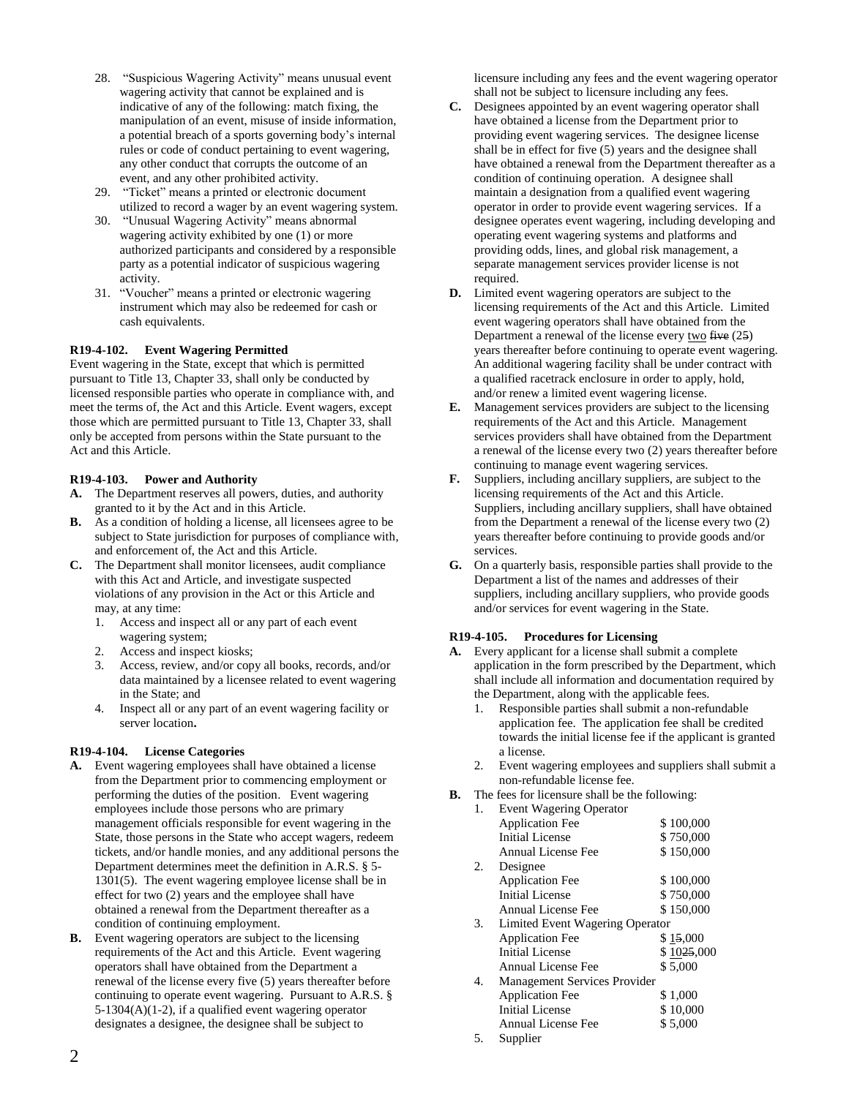- 28. "Suspicious Wagering Activity" means unusual event wagering activity that cannot be explained and is indicative of any of the following: match fixing, the manipulation of an event, misuse of inside information, a potential breach of a sports governing body's internal rules or code of conduct pertaining to event wagering, any other conduct that corrupts the outcome of an event, and any other prohibited activity.
- 29. "Ticket" means a printed or electronic document utilized to record a wager by an event wagering system.
- 30. "Unusual Wagering Activity" means abnormal wagering activity exhibited by one (1) or more authorized participants and considered by a responsible party as a potential indicator of suspicious wagering activity.
- 31. "Voucher" means a printed or electronic wagering instrument which may also be redeemed for cash or cash equivalents.

## **R19-4-102. Event Wagering Permitted**

Event wagering in the State, except that which is permitted pursuant to Title 13, Chapter 33, shall only be conducted by licensed responsible parties who operate in compliance with, and meet the terms of, the Act and this Article. Event wagers, except those which are permitted pursuant to Title 13, Chapter 33, shall only be accepted from persons within the State pursuant to the Act and this Article.

#### **R19-4-103. Power and Authority**

- **A.** The Department reserves all powers, duties, and authority granted to it by the Act and in this Article.
- **B.** As a condition of holding a license, all licensees agree to be subject to State jurisdiction for purposes of compliance with, and enforcement of, the Act and this Article.
- **C.** The Department shall monitor licensees, audit compliance with this Act and Article, and investigate suspected violations of any provision in the Act or this Article and may, at any time:
	- 1. Access and inspect all or any part of each event wagering system;
	- 2. Access and inspect kiosks;
	- 3. Access, review, and/or copy all books, records, and/or data maintained by a licensee related to event wagering in the State; and
	- 4. Inspect all or any part of an event wagering facility or server location**.**

## **R19-4-104. License Categories**

- **A.** Event wagering employees shall have obtained a license from the Department prior to commencing employment or performing the duties of the position. Event wagering employees include those persons who are primary management officials responsible for event wagering in the State, those persons in the State who accept wagers, redeem tickets, and/or handle monies, and any additional persons the Department determines meet the definition in A.R.S. § 5- 1301(5). The event wagering employee license shall be in effect for two (2) years and the employee shall have obtained a renewal from the Department thereafter as a condition of continuing employment.
- **B.** Event wagering operators are subject to the licensing requirements of the Act and this Article. Event wagering operators shall have obtained from the Department a renewal of the license every five (5) years thereafter before continuing to operate event wagering. Pursuant to A.R.S. § 5-1304(A)(1-2), if a qualified event wagering operator designates a designee, the designee shall be subject to

licensure including any fees and the event wagering operator shall not be subject to licensure including any fees.

- **C.** Designees appointed by an event wagering operator shall have obtained a license from the Department prior to providing event wagering services. The designee license shall be in effect for five (5) years and the designee shall have obtained a renewal from the Department thereafter as a condition of continuing operation. A designee shall maintain a designation from a qualified event wagering operator in order to provide event wagering services. If a designee operates event wagering, including developing and operating event wagering systems and platforms and providing odds, lines, and global risk management, a separate management services provider license is not required.
- **D.** Limited event wagering operators are subject to the licensing requirements of the Act and this Article. Limited event wagering operators shall have obtained from the Department a renewal of the license every  $two$  five  $(25)$ </u> years thereafter before continuing to operate event wagering. An additional wagering facility shall be under contract with a qualified racetrack enclosure in order to apply, hold, and/or renew a limited event wagering license.
- **E.** Management services providers are subject to the licensing requirements of the Act and this Article. Management services providers shall have obtained from the Department a renewal of the license every two (2) years thereafter before continuing to manage event wagering services.
- **F.** Suppliers, including ancillary suppliers, are subject to the licensing requirements of the Act and this Article. Suppliers, including ancillary suppliers, shall have obtained from the Department a renewal of the license every two (2) years thereafter before continuing to provide goods and/or services.
- **G.** On a quarterly basis, responsible parties shall provide to the Department a list of the names and addresses of their suppliers, including ancillary suppliers, who provide goods and/or services for event wagering in the State.

## **R19-4-105. Procedures for Licensing**

- **A.** Every applicant for a license shall submit a complete application in the form prescribed by the Department, which shall include all information and documentation required by the Department, along with the applicable fees.
	- 1. Responsible parties shall submit a non-refundable application fee. The application fee shall be credited towards the initial license fee if the applicant is granted a license.
	- 2. Event wagering employees and suppliers shall submit a non-refundable license fee.
- **B.** The fees for licensure shall be the following:

| 1. | <b>Event Wagering Operator</b>  |            |  |
|----|---------------------------------|------------|--|
|    | <b>Application Fee</b>          | \$100,000  |  |
|    | Initial License                 | \$750,000  |  |
|    | <b>Annual License Fee</b>       | \$150,000  |  |
| 2. | Designee                        |            |  |
|    | <b>Application Fee</b>          | \$100,000  |  |
|    | <b>Initial License</b>          | \$750,000  |  |
|    | <b>Annual License Fee</b>       | \$150,000  |  |
| 3. | Limited Event Wagering Operator |            |  |
|    | <b>Application Fee</b>          | \$15,000   |  |
|    | Initial License                 | \$1025,000 |  |
|    | <b>Annual License Fee</b>       | \$5,000    |  |
| 4. | Management Services Provider    |            |  |
|    | <b>Application Fee</b>          | \$1,000    |  |
|    | <b>Initial License</b>          | \$10,000   |  |
|    | <b>Annual License Fee</b>       | \$5,000    |  |
| 5  | $C$ unnliar                     |            |  |

5. Supplier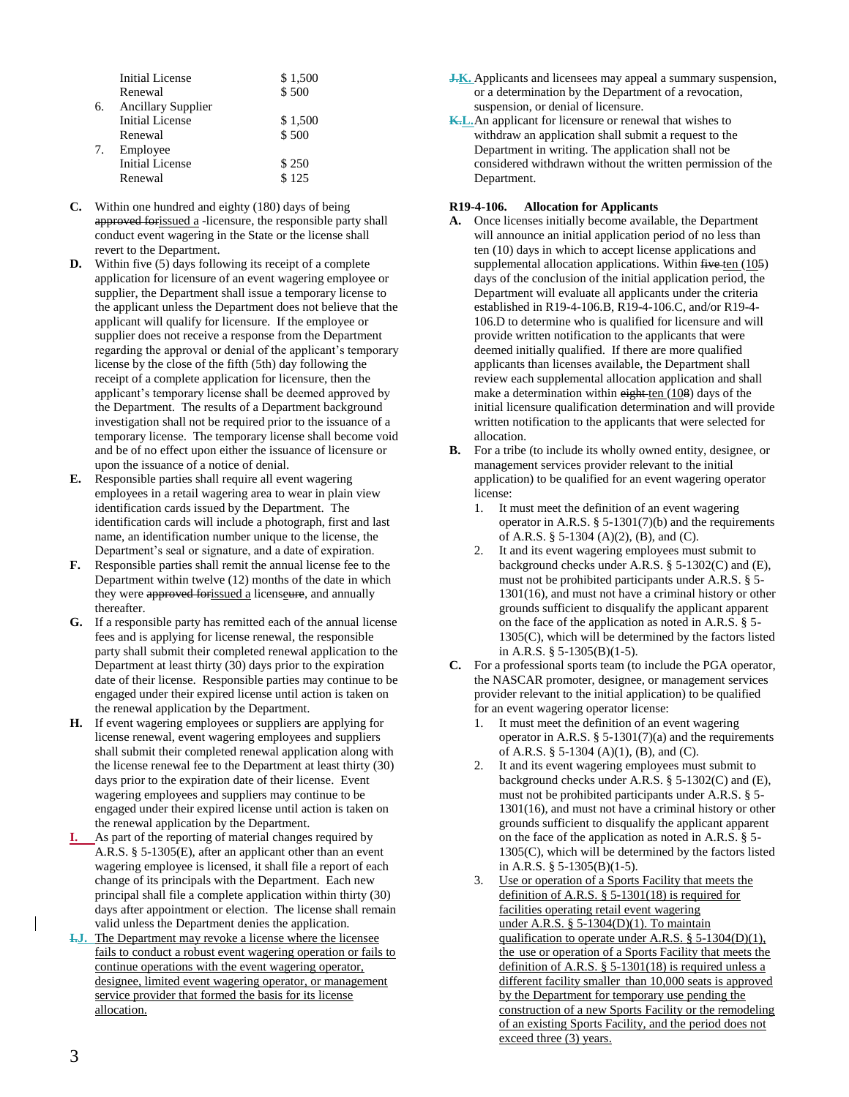|    | <b>Initial License</b>    | \$1,500 |
|----|---------------------------|---------|
|    | Renewal                   | \$500   |
| 6. | <b>Ancillary Supplier</b> |         |
|    | <b>Initial License</b>    | \$1,500 |
|    | Renewal                   | \$500   |
| 7. | Employee                  |         |
|    | <b>Initial License</b>    | \$250   |
|    | Renewal                   | \$125   |

- **C.** Within one hundred and eighty (180) days of being approved forissued a -licensure, the responsible party shall conduct event wagering in the State or the license shall revert to the Department.
- **D.** Within five (5) days following its receipt of a complete application for licensure of an event wagering employee or supplier, the Department shall issue a temporary license to the applicant unless the Department does not believe that the applicant will qualify for licensure. If the employee or supplier does not receive a response from the Department regarding the approval or denial of the applicant's temporary license by the close of the fifth (5th) day following the receipt of a complete application for licensure, then the applicant's temporary license shall be deemed approved by the Department. The results of a Department background investigation shall not be required prior to the issuance of a temporary license. The temporary license shall become void and be of no effect upon either the issuance of licensure or upon the issuance of a notice of denial.
- **E.** Responsible parties shall require all event wagering employees in a retail wagering area to wear in plain view identification cards issued by the Department. The identification cards will include a photograph, first and last name, an identification number unique to the license, the Department's seal or signature, and a date of expiration.
- **F.** Responsible parties shall remit the annual license fee to the Department within twelve (12) months of the date in which they were approved for issued a licenseure, and annually thereafter.
- **G.** If a responsible party has remitted each of the annual license fees and is applying for license renewal, the responsible party shall submit their completed renewal application to the Department at least thirty (30) days prior to the expiration date of their license. Responsible parties may continue to be engaged under their expired license until action is taken on the renewal application by the Department.
- **H.** If event wagering employees or suppliers are applying for license renewal, event wagering employees and suppliers shall submit their completed renewal application along with the license renewal fee to the Department at least thirty (30) days prior to the expiration date of their license. Event wagering employees and suppliers may continue to be engaged under their expired license until action is taken on the renewal application by the Department.
- **I.** As part of the reporting of material changes required by A.R.S. § 5-1305(E), after an applicant other than an event wagering employee is licensed, it shall file a report of each change of its principals with the Department. Each new principal shall file a complete application within thirty (30) days after appointment or election. The license shall remain valid unless the Department denies the application.
- **I.J.** The Department may revoke a license where the licensee fails to conduct a robust event wagering operation or fails to continue operations with the event wagering operator, designee, limited event wagering operator, or management service provider that formed the basis for its license allocation.
- **J.K.** Applicants and licensees may appeal a summary suspension, or a determination by the Department of a revocation, suspension, or denial of licensure.
- **K.L.** An applicant for licensure or renewal that wishes to withdraw an application shall submit a request to the Department in writing. The application shall not be considered withdrawn without the written permission of the Department.

## **R19-4-106. Allocation for Applicants**

- **A.** Once licenses initially become available, the Department will announce an initial application period of no less than ten (10) days in which to accept license applications and supplemental allocation applications. Within  $f$ ive ten  $(105)$ days of the conclusion of the initial application period, the Department will evaluate all applicants under the criteria established in R19-4-106.B, R19-4-106.C, and/or R19-4- 106.D to determine who is qualified for licensure and will provide written notification to the applicants that were deemed initially qualified. If there are more qualified applicants than licenses available, the Department shall review each supplemental allocation application and shall make a determination within  $\frac{$ eight ten  $(108)$  days of the initial licensure qualification determination and will provide written notification to the applicants that were selected for allocation.
- **B.** For a tribe (to include its wholly owned entity, designee, or management services provider relevant to the initial application) to be qualified for an event wagering operator license:
	- 1. It must meet the definition of an event wagering operator in A.R.S.  $\S$  5-1301(7)(b) and the requirements of A.R.S. § 5-1304 (A)(2), (B), and (C).
	- 2. It and its event wagering employees must submit to background checks under A.R.S. § 5-1302(C) and (E), must not be prohibited participants under A.R.S. § 5- 1301(16), and must not have a criminal history or other grounds sufficient to disqualify the applicant apparent on the face of the application as noted in A.R.S. § 5- 1305(C), which will be determined by the factors listed in A.R.S. § 5-1305(B)(1-5).
- **C.** For a professional sports team (to include the PGA operator, the NASCAR promoter, designee, or management services provider relevant to the initial application) to be qualified for an event wagering operator license:
	- 1. It must meet the definition of an event wagering operator in A.R.S.  $\S$  5-1301(7)(a) and the requirements of A.R.S. § 5-1304 (A)(1), (B), and (C).
	- 2. It and its event wagering employees must submit to background checks under A.R.S. § 5-1302(C) and (E), must not be prohibited participants under A.R.S. § 5- 1301(16), and must not have a criminal history or other grounds sufficient to disqualify the applicant apparent on the face of the application as noted in A.R.S. § 5- 1305(C), which will be determined by the factors listed in A.R.S. § 5-1305(B)(1-5).
	- 3. Use or operation of a Sports Facility that meets the definition of A.R.S.  $\S$  5-1301(18) is required for facilities operating retail event wagering under A.R.S. § 5-1304(D)(1). To maintain qualification to operate under A.R.S. § 5-1304(D)(1), the use or operation of a Sports Facility that meets the definition of A.R.S. § 5-1301(18) is required unless a different facility smaller than 10,000 seats is approved by the Department for temporary use pending the construction of a new Sports Facility or the remodeling of an existing Sports Facility, and the period does not exceed three (3) years.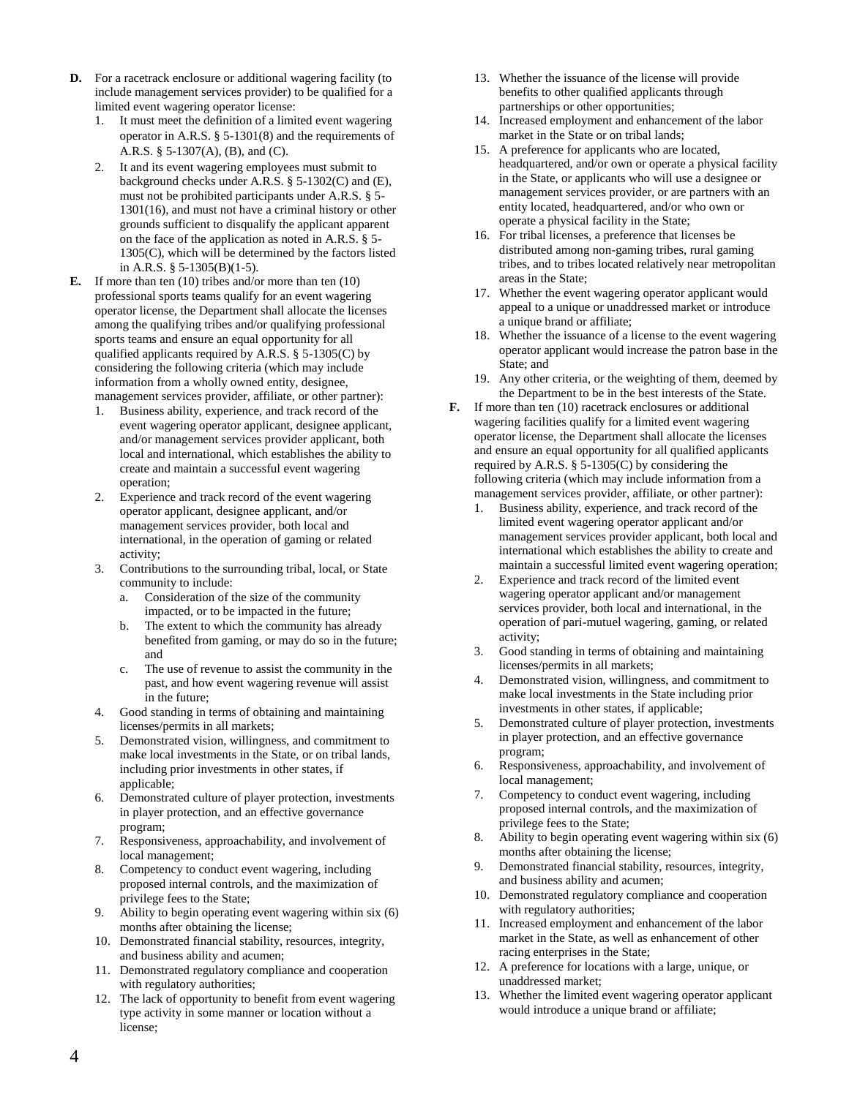- **D.** For a racetrack enclosure or additional wagering facility (to include management services provider) to be qualified for a limited event wagering operator license:
	- 1. It must meet the definition of a limited event wagering operator in A.R.S. § 5-1301(8) and the requirements of A.R.S. § 5-1307(A), (B), and (C).
	- 2. It and its event wagering employees must submit to background checks under A.R.S. § 5-1302(C) and (E), must not be prohibited participants under A.R.S. § 5- 1301(16), and must not have a criminal history or other grounds sufficient to disqualify the applicant apparent on the face of the application as noted in A.R.S. § 5- 1305(C), which will be determined by the factors listed in A.R.S. § 5-1305(B)(1-5).
- **E.** If more than ten (10) tribes and/or more than ten (10) professional sports teams qualify for an event wagering operator license, the Department shall allocate the licenses among the qualifying tribes and/or qualifying professional sports teams and ensure an equal opportunity for all qualified applicants required by A.R.S.  $\S$  5-1305(C) by considering the following criteria (which may include information from a wholly owned entity, designee, management services provider, affiliate, or other partner):
	- 1. Business ability, experience, and track record of the event wagering operator applicant, designee applicant, and/or management services provider applicant, both local and international, which establishes the ability to create and maintain a successful event wagering operation;
	- 2. Experience and track record of the event wagering operator applicant, designee applicant, and/or management services provider, both local and international, in the operation of gaming or related activity;
	- 3. Contributions to the surrounding tribal, local, or State community to include:
		- a. Consideration of the size of the community impacted, or to be impacted in the future;
		- b. The extent to which the community has already benefited from gaming, or may do so in the future; and
		- c. The use of revenue to assist the community in the past, and how event wagering revenue will assist in the future;
	- 4. Good standing in terms of obtaining and maintaining licenses/permits in all markets;
	- 5. Demonstrated vision, willingness, and commitment to make local investments in the State, or on tribal lands, including prior investments in other states, if applicable;
	- 6. Demonstrated culture of player protection, investments in player protection, and an effective governance program;
	- 7. Responsiveness, approachability, and involvement of local management;
	- Competency to conduct event wagering, including proposed internal controls, and the maximization of privilege fees to the State;
	- 9. Ability to begin operating event wagering within six (6) months after obtaining the license;
	- 10. Demonstrated financial stability, resources, integrity, and business ability and acumen;
	- 11. Demonstrated regulatory compliance and cooperation with regulatory authorities;
	- 12. The lack of opportunity to benefit from event wagering type activity in some manner or location without a license;
- 13. Whether the issuance of the license will provide benefits to other qualified applicants through partnerships or other opportunities;
- 14. Increased employment and enhancement of the labor market in the State or on tribal lands;
- 15. A preference for applicants who are located, headquartered, and/or own or operate a physical facility in the State, or applicants who will use a designee or management services provider, or are partners with an entity located, headquartered, and/or who own or operate a physical facility in the State;
- 16. For tribal licenses, a preference that licenses be distributed among non-gaming tribes, rural gaming tribes, and to tribes located relatively near metropolitan areas in the State;
- 17. Whether the event wagering operator applicant would appeal to a unique or unaddressed market or introduce a unique brand or affiliate;
- 18. Whether the issuance of a license to the event wagering operator applicant would increase the patron base in the State; and
- 19. Any other criteria, or the weighting of them, deemed by the Department to be in the best interests of the State.
- **F.** If more than ten (10) racetrack enclosures or additional wagering facilities qualify for a limited event wagering operator license, the Department shall allocate the licenses and ensure an equal opportunity for all qualified applicants required by A.R.S. § 5-1305(C) by considering the following criteria (which may include information from a management services provider, affiliate, or other partner):
	- 1. Business ability, experience, and track record of the limited event wagering operator applicant and/or management services provider applicant, both local and international which establishes the ability to create and maintain a successful limited event wagering operation;
	- 2. Experience and track record of the limited event wagering operator applicant and/or management services provider, both local and international, in the operation of pari-mutuel wagering, gaming, or related activity;
	- 3. Good standing in terms of obtaining and maintaining licenses/permits in all markets;
	- 4. Demonstrated vision, willingness, and commitment to make local investments in the State including prior investments in other states, if applicable;
	- 5. Demonstrated culture of player protection, investments in player protection, and an effective governance program;
	- 6. Responsiveness, approachability, and involvement of local management;
	- 7. Competency to conduct event wagering, including proposed internal controls, and the maximization of privilege fees to the State;
	- 8. Ability to begin operating event wagering within six (6) months after obtaining the license;
	- 9. Demonstrated financial stability, resources, integrity, and business ability and acumen;
	- 10. Demonstrated regulatory compliance and cooperation with regulatory authorities;
	- 11. Increased employment and enhancement of the labor market in the State, as well as enhancement of other racing enterprises in the State;
	- 12. A preference for locations with a large, unique, or unaddressed market;
	- 13. Whether the limited event wagering operator applicant would introduce a unique brand or affiliate;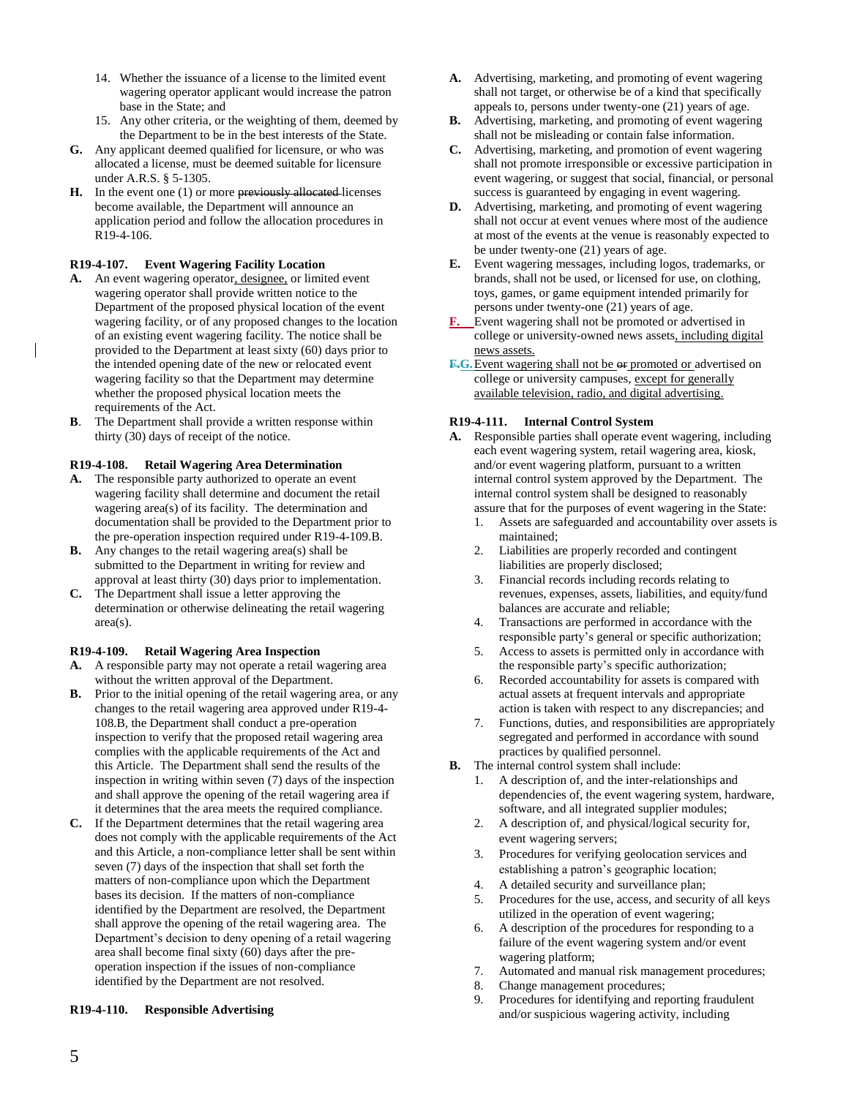- 14. Whether the issuance of a license to the limited event wagering operator applicant would increase the patron base in the State; and
- 15. Any other criteria, or the weighting of them, deemed by the Department to be in the best interests of the State.
- **G.** Any applicant deemed qualified for licensure, or who was allocated a license, must be deemed suitable for licensure under A.R.S. § 5-1305.
- **H.** In the event one (1) or more previously allocated-licenses become available, the Department will announce an application period and follow the allocation procedures in R19-4-106.

### **R19-4-107. Event Wagering Facility Location**

- A. An event wagering operator, designee, or limited event wagering operator shall provide written notice to the Department of the proposed physical location of the event wagering facility, or of any proposed changes to the location of an existing event wagering facility. The notice shall be provided to the Department at least sixty (60) days prior to the intended opening date of the new or relocated event wagering facility so that the Department may determine whether the proposed physical location meets the requirements of the Act.
- **B**. The Department shall provide a written response within thirty (30) days of receipt of the notice.

## **R19-4-108. Retail Wagering Area Determination**

- **A.** The responsible party authorized to operate an event wagering facility shall determine and document the retail wagering area(s) of its facility. The determination and documentation shall be provided to the Department prior to the pre-operation inspection required under R19-4-109.B.
- **B.** Any changes to the retail wagering area(s) shall be submitted to the Department in writing for review and approval at least thirty (30) days prior to implementation.
- **C.** The Department shall issue a letter approving the determination or otherwise delineating the retail wagering area(s).

#### **R19-4-109. Retail Wagering Area Inspection**

- **A.** A responsible party may not operate a retail wagering area without the written approval of the Department.
- **B.** Prior to the initial opening of the retail wagering area, or any changes to the retail wagering area approved under R19-4- 108.B, the Department shall conduct a pre-operation inspection to verify that the proposed retail wagering area complies with the applicable requirements of the Act and this Article. The Department shall send the results of the inspection in writing within seven (7) days of the inspection and shall approve the opening of the retail wagering area if it determines that the area meets the required compliance.
- **C.** If the Department determines that the retail wagering area does not comply with the applicable requirements of the Act and this Article, a non-compliance letter shall be sent within seven (7) days of the inspection that shall set forth the matters of non-compliance upon which the Department bases its decision. If the matters of non-compliance identified by the Department are resolved, the Department shall approve the opening of the retail wagering area. The Department's decision to deny opening of a retail wagering area shall become final sixty (60) days after the preoperation inspection if the issues of non-compliance identified by the Department are not resolved.

#### **R19-4-110. Responsible Advertising**

- **A.** Advertising, marketing, and promoting of event wagering shall not target, or otherwise be of a kind that specifically appeals to, persons under twenty-one (21) years of age.
- **B.** Advertising, marketing, and promoting of event wagering shall not be misleading or contain false information.
- **C.** Advertising, marketing, and promotion of event wagering shall not promote irresponsible or excessive participation in event wagering, or suggest that social, financial, or personal success is guaranteed by engaging in event wagering.
- **D.** Advertising, marketing, and promoting of event wagering shall not occur at event venues where most of the audience at most of the events at the venue is reasonably expected to be under twenty-one (21) years of age.
- **E.** Event wagering messages, including logos, trademarks, or brands, shall not be used, or licensed for use, on clothing, toys, games, or game equipment intended primarily for persons under twenty-one (21) years of age.
- **F.** Event wagering shall not be promoted or advertised in college or university-owned news assets, including digital news assets.
- F.G. Event wagering shall not be  $\Theta$ r promoted or advertised on college or university campuses, except for generally available television, radio, and digital advertising.

#### **R19-4-111. Internal Control System**

- **A.** Responsible parties shall operate event wagering, including each event wagering system, retail wagering area, kiosk, and/or event wagering platform, pursuant to a written internal control system approved by the Department. The internal control system shall be designed to reasonably assure that for the purposes of event wagering in the State:
	- 1. Assets are safeguarded and accountability over assets is maintained;
	- 2. Liabilities are properly recorded and contingent liabilities are properly disclosed;
	- 3. Financial records including records relating to revenues, expenses, assets, liabilities, and equity/fund balances are accurate and reliable;
	- 4. Transactions are performed in accordance with the responsible party's general or specific authorization;
	- 5. Access to assets is permitted only in accordance with the responsible party's specific authorization;
	- 6. Recorded accountability for assets is compared with actual assets at frequent intervals and appropriate action is taken with respect to any discrepancies; and
	- 7. Functions, duties, and responsibilities are appropriately segregated and performed in accordance with sound practices by qualified personnel.
- **B.** The internal control system shall include:
	- 1. A description of, and the inter-relationships and dependencies of, the event wagering system, hardware, software, and all integrated supplier modules;
	- 2. A description of, and physical/logical security for, event wagering servers;
	- 3. Procedures for verifying geolocation services and establishing a patron's geographic location;
	- 4. A detailed security and surveillance plan;
	- 5. Procedures for the use, access, and security of all keys utilized in the operation of event wagering;
	- 6. A description of the procedures for responding to a failure of the event wagering system and/or event wagering platform;
	- 7. Automated and manual risk management procedures;
	- 8. Change management procedures;
	- 9. Procedures for identifying and reporting fraudulent and/or suspicious wagering activity, including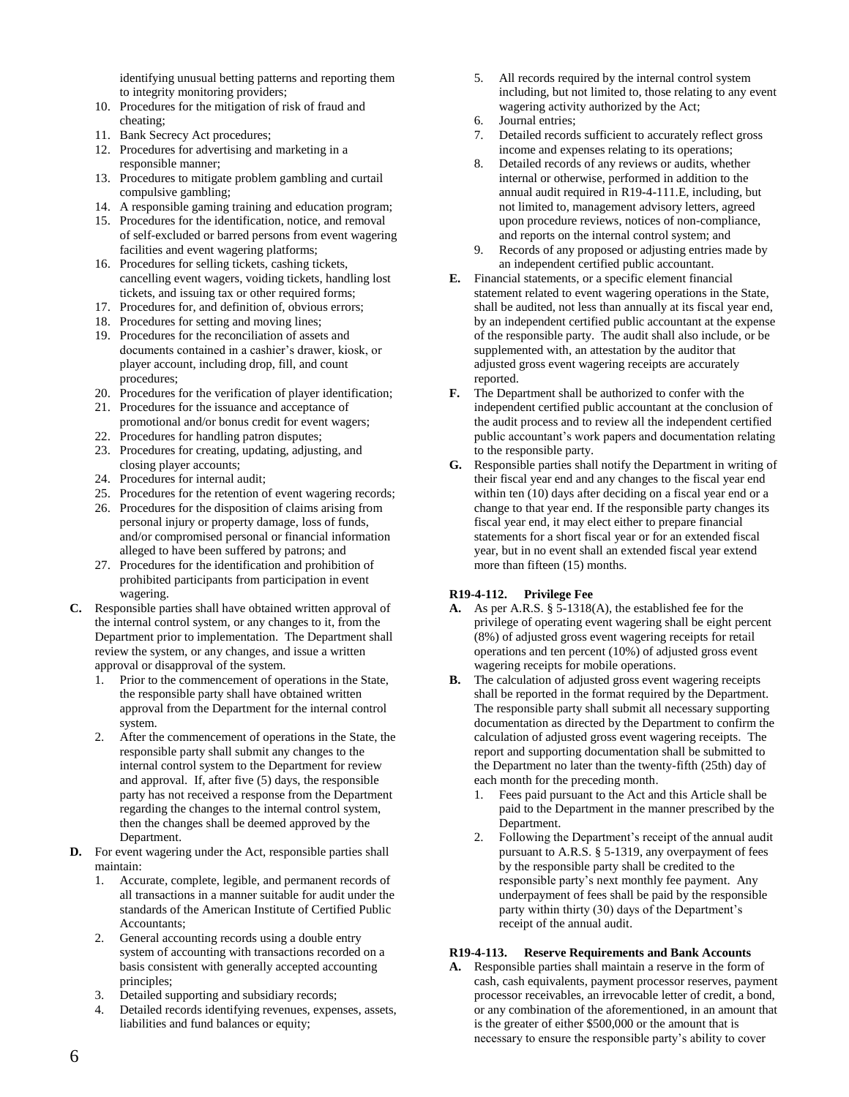identifying unusual betting patterns and reporting them to integrity monitoring providers;

- 10. Procedures for the mitigation of risk of fraud and cheating;
- 11. Bank Secrecy Act procedures;
- 12. Procedures for advertising and marketing in a responsible manner;
- 13. Procedures to mitigate problem gambling and curtail compulsive gambling;
- 14. A responsible gaming training and education program;
- 15. Procedures for the identification, notice, and removal of self-excluded or barred persons from event wagering facilities and event wagering platforms;
- 16. Procedures for selling tickets, cashing tickets, cancelling event wagers, voiding tickets, handling lost tickets, and issuing tax or other required forms;
- 17. Procedures for, and definition of, obvious errors;
- 18. Procedures for setting and moving lines;
- 19. Procedures for the reconciliation of assets and documents contained in a cashier's drawer, kiosk, or player account, including drop, fill, and count procedures;
- 20. Procedures for the verification of player identification;
- 21. Procedures for the issuance and acceptance of promotional and/or bonus credit for event wagers;
- 22. Procedures for handling patron disputes;
- 23. Procedures for creating, updating, adjusting, and closing player accounts;
- 24. Procedures for internal audit;
- 25. Procedures for the retention of event wagering records;
- 26. Procedures for the disposition of claims arising from personal injury or property damage, loss of funds, and/or compromised personal or financial information alleged to have been suffered by patrons; and
- 27. Procedures for the identification and prohibition of prohibited participants from participation in event wagering.
- **C.** Responsible parties shall have obtained written approval of the internal control system, or any changes to it, from the Department prior to implementation. The Department shall review the system, or any changes, and issue a written approval or disapproval of the system.
	- 1. Prior to the commencement of operations in the State, the responsible party shall have obtained written approval from the Department for the internal control system.
	- 2. After the commencement of operations in the State, the responsible party shall submit any changes to the internal control system to the Department for review and approval. If, after five (5) days, the responsible party has not received a response from the Department regarding the changes to the internal control system, then the changes shall be deemed approved by the Department.
- **D.** For event wagering under the Act, responsible parties shall maintain:
	- 1. Accurate, complete, legible, and permanent records of all transactions in a manner suitable for audit under the standards of the American Institute of Certified Public Accountants;
	- 2. General accounting records using a double entry system of accounting with transactions recorded on a basis consistent with generally accepted accounting principles;
	- 3. Detailed supporting and subsidiary records;
	- 4. Detailed records identifying revenues, expenses, assets, liabilities and fund balances or equity;
- 5. All records required by the internal control system including, but not limited to, those relating to any event wagering activity authorized by the Act;
- 6. Journal entries;
- 7. Detailed records sufficient to accurately reflect gross income and expenses relating to its operations;
- 8. Detailed records of any reviews or audits, whether internal or otherwise, performed in addition to the annual audit required in R19-4-111.E, including, but not limited to, management advisory letters, agreed upon procedure reviews, notices of non-compliance, and reports on the internal control system; and
- 9. Records of any proposed or adjusting entries made by an independent certified public accountant.
- **E.** Financial statements, or a specific element financial statement related to event wagering operations in the State, shall be audited, not less than annually at its fiscal year end, by an independent certified public accountant at the expense of the responsible party. The audit shall also include, or be supplemented with, an attestation by the auditor that adjusted gross event wagering receipts are accurately reported.
- **F.** The Department shall be authorized to confer with the independent certified public accountant at the conclusion of the audit process and to review all the independent certified public accountant's work papers and documentation relating to the responsible party.
- **G.** Responsible parties shall notify the Department in writing of their fiscal year end and any changes to the fiscal year end within ten (10) days after deciding on a fiscal year end or a change to that year end. If the responsible party changes its fiscal year end, it may elect either to prepare financial statements for a short fiscal year or for an extended fiscal year, but in no event shall an extended fiscal year extend more than fifteen (15) months.

## **R19-4-112. Privilege Fee**

- **A.** As per A.R.S. § 5-1318(A), the established fee for the privilege of operating event wagering shall be eight percent (8%) of adjusted gross event wagering receipts for retail operations and ten percent (10%) of adjusted gross event wagering receipts for mobile operations.
- **B.** The calculation of adjusted gross event wagering receipts shall be reported in the format required by the Department. The responsible party shall submit all necessary supporting documentation as directed by the Department to confirm the calculation of adjusted gross event wagering receipts. The report and supporting documentation shall be submitted to the Department no later than the twenty-fifth (25th) day of each month for the preceding month.
	- 1. Fees paid pursuant to the Act and this Article shall be paid to the Department in the manner prescribed by the Department.
	- 2. Following the Department's receipt of the annual audit pursuant to A.R.S. § 5-1319, any overpayment of fees by the responsible party shall be credited to the responsible party's next monthly fee payment. Any underpayment of fees shall be paid by the responsible party within thirty (30) days of the Department's receipt of the annual audit.

## **R19-4-113. Reserve Requirements and Bank Accounts**

**A.** Responsible parties shall maintain a reserve in the form of cash, cash equivalents, payment processor reserves, payment processor receivables, an irrevocable letter of credit, a bond, or any combination of the aforementioned, in an amount that is the greater of either \$500,000 or the amount that is necessary to ensure the responsible party's ability to cover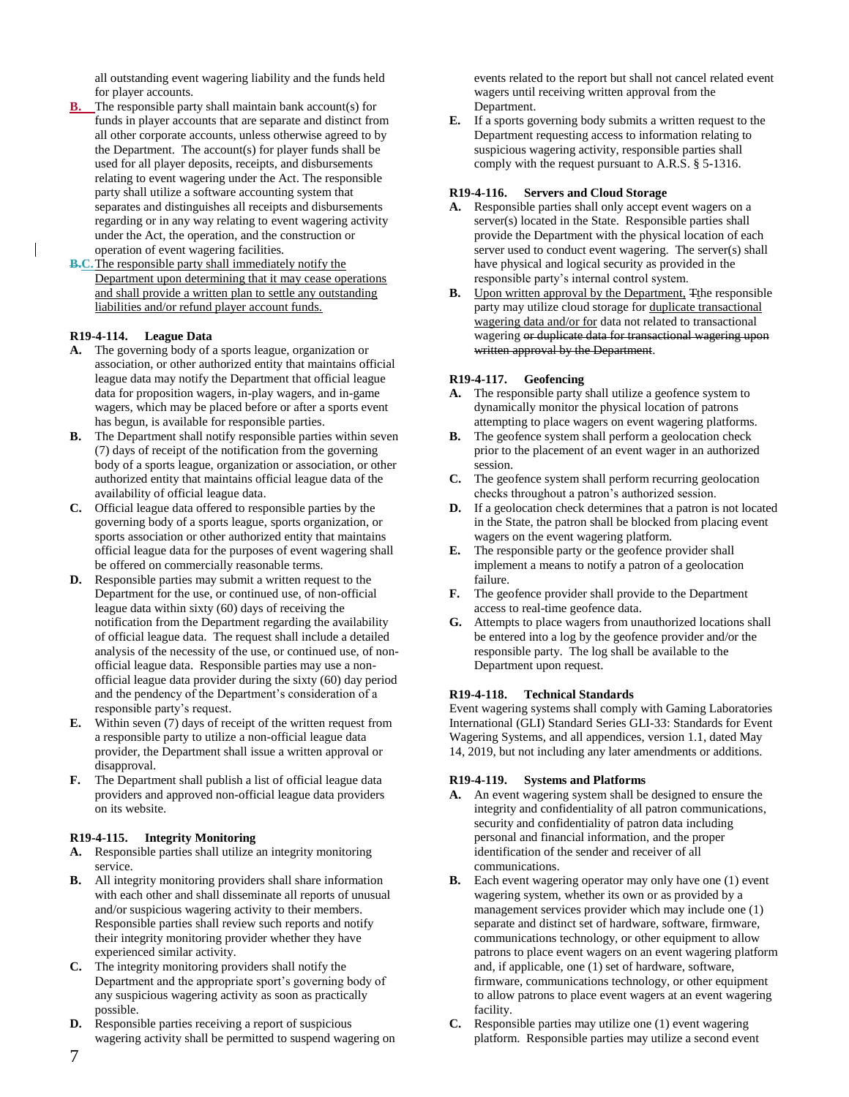all outstanding event wagering liability and the funds held for player accounts.

- **B.** The responsible party shall maintain bank account(s) for funds in player accounts that are separate and distinct from all other corporate accounts, unless otherwise agreed to by the Department. The account(s) for player funds shall be used for all player deposits, receipts, and disbursements relating to event wagering under the Act. The responsible party shall utilize a software accounting system that separates and distinguishes all receipts and disbursements regarding or in any way relating to event wagering activity under the Act, the operation, and the construction or operation of event wagering facilities.
- **B.C.** The responsible party shall immediately notify the Department upon determining that it may cease operations and shall provide a written plan to settle any outstanding liabilities and/or refund player account funds.

## **R19-4-114. League Data**

- **A.** The governing body of a sports league, organization or association, or other authorized entity that maintains official league data may notify the Department that official league data for proposition wagers, in-play wagers, and in-game wagers, which may be placed before or after a sports event has begun, is available for responsible parties.
- **B.** The Department shall notify responsible parties within seven (7) days of receipt of the notification from the governing body of a sports league, organization or association, or other authorized entity that maintains official league data of the availability of official league data.
- **C.** Official league data offered to responsible parties by the governing body of a sports league, sports organization, or sports association or other authorized entity that maintains official league data for the purposes of event wagering shall be offered on commercially reasonable terms.
- **D.** Responsible parties may submit a written request to the Department for the use, or continued use, of non-official league data within sixty (60) days of receiving the notification from the Department regarding the availability of official league data. The request shall include a detailed analysis of the necessity of the use, or continued use, of nonofficial league data. Responsible parties may use a nonofficial league data provider during the sixty (60) day period and the pendency of the Department's consideration of a responsible party's request.
- **E.** Within seven (7) days of receipt of the written request from a responsible party to utilize a non-official league data provider, the Department shall issue a written approval or disapproval.
- **F.** The Department shall publish a list of official league data providers and approved non-official league data providers on its website.

#### **R19-4-115. Integrity Monitoring**

- **A.** Responsible parties shall utilize an integrity monitoring service.
- **B.** All integrity monitoring providers shall share information with each other and shall disseminate all reports of unusual and/or suspicious wagering activity to their members. Responsible parties shall review such reports and notify their integrity monitoring provider whether they have experienced similar activity.
- **C.** The integrity monitoring providers shall notify the Department and the appropriate sport's governing body of any suspicious wagering activity as soon as practically possible.
- **D.** Responsible parties receiving a report of suspicious wagering activity shall be permitted to suspend wagering on

events related to the report but shall not cancel related event wagers until receiving written approval from the Department.

**E.** If a sports governing body submits a written request to the Department requesting access to information relating to suspicious wagering activity, responsible parties shall comply with the request pursuant to A.R.S. § 5-1316.

### **R19-4-116. Servers and Cloud Storage**

- **A.** Responsible parties shall only accept event wagers on a server(s) located in the State. Responsible parties shall provide the Department with the physical location of each server used to conduct event wagering. The server(s) shall have physical and logical security as provided in the responsible party's internal control system.
- **B.** Upon written approval by the Department, Tthe responsible party may utilize cloud storage for duplicate transactional wagering data and/or for data not related to transactional wagering or duplicate data for transactional wagering upon written approval by the Department.

#### **R19-4-117. Geofencing**

- **A.** The responsible party shall utilize a geofence system to dynamically monitor the physical location of patrons attempting to place wagers on event wagering platforms.
- **B.** The geofence system shall perform a geolocation check prior to the placement of an event wager in an authorized session.
- **C.** The geofence system shall perform recurring geolocation checks throughout a patron's authorized session.
- **D.** If a geolocation check determines that a patron is not located in the State, the patron shall be blocked from placing event wagers on the event wagering platform.
- **E.** The responsible party or the geofence provider shall implement a means to notify a patron of a geolocation failure.
- **F.** The geofence provider shall provide to the Department access to real-time geofence data.
- **G.** Attempts to place wagers from unauthorized locations shall be entered into a log by the geofence provider and/or the responsible party. The log shall be available to the Department upon request.

#### **R19-4-118. Technical Standards**

Event wagering systems shall comply with Gaming Laboratories International (GLI) Standard Series GLI-33: Standards for Event Wagering Systems, and all appendices, version 1.1, dated May 14, 2019, but not including any later amendments or additions.

#### **R19-4-119. Systems and Platforms**

- **A.** An event wagering system shall be designed to ensure the integrity and confidentiality of all patron communications, security and confidentiality of patron data including personal and financial information, and the proper identification of the sender and receiver of all communications.
- **B.** Each event wagering operator may only have one (1) event wagering system, whether its own or as provided by a management services provider which may include one (1) separate and distinct set of hardware, software, firmware, communications technology, or other equipment to allow patrons to place event wagers on an event wagering platform and, if applicable, one (1) set of hardware, software, firmware, communications technology, or other equipment to allow patrons to place event wagers at an event wagering facility.
- **C.** Responsible parties may utilize one (1) event wagering platform. Responsible parties may utilize a second event

7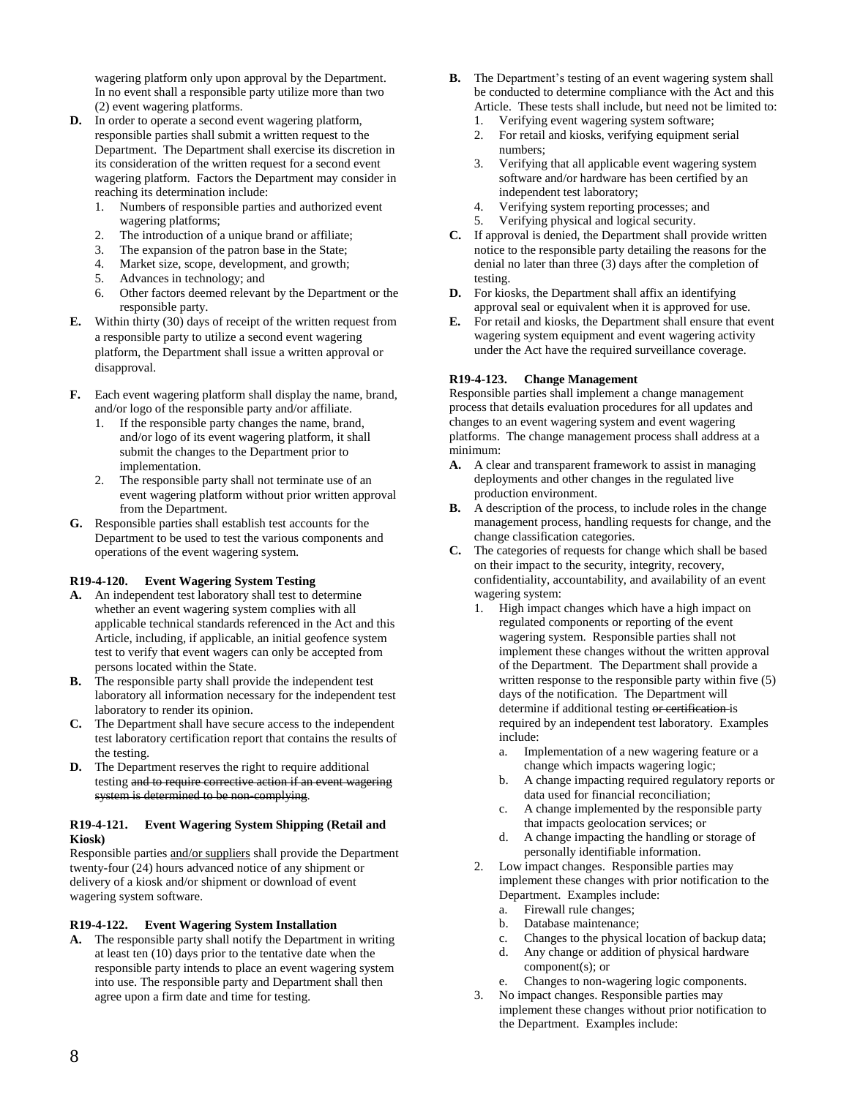wagering platform only upon approval by the Department. In no event shall a responsible party utilize more than two (2) event wagering platforms.

- **D.** In order to operate a second event wagering platform, responsible parties shall submit a written request to the Department. The Department shall exercise its discretion in its consideration of the written request for a second event wagering platform. Factors the Department may consider in reaching its determination include:
	- 1. Numbers of responsible parties and authorized event wagering platforms;
	- 2. The introduction of a unique brand or affiliate;
	- 3. The expansion of the patron base in the State;
	- 4. Market size, scope, development, and growth;
	- 5. Advances in technology; and
	- 6. Other factors deemed relevant by the Department or the responsible party.
- **E.** Within thirty (30) days of receipt of the written request from a responsible party to utilize a second event wagering platform, the Department shall issue a written approval or disapproval.
- **F.** Each event wagering platform shall display the name, brand, and/or logo of the responsible party and/or affiliate.
	- 1. If the responsible party changes the name, brand, and/or logo of its event wagering platform, it shall submit the changes to the Department prior to implementation.
	- 2. The responsible party shall not terminate use of an event wagering platform without prior written approval from the Department.
- **G.** Responsible parties shall establish test accounts for the Department to be used to test the various components and operations of the event wagering system.

# **R19-4-120. Event Wagering System Testing**

- **A.** An independent test laboratory shall test to determine whether an event wagering system complies with all applicable technical standards referenced in the Act and this Article, including, if applicable, an initial geofence system test to verify that event wagers can only be accepted from persons located within the State.
- **B.** The responsible party shall provide the independent test laboratory all information necessary for the independent test laboratory to render its opinion.
- **C.** The Department shall have secure access to the independent test laboratory certification report that contains the results of the testing.
- **D.** The Department reserves the right to require additional testing and to require corrective action if an event wagering system is determined to be non-complying.

## **R19-4-121. Event Wagering System Shipping (Retail and Kiosk)**

Responsible parties and/or suppliers shall provide the Department twenty-four (24) hours advanced notice of any shipment or delivery of a kiosk and/or shipment or download of event wagering system software.

## **R19-4-122. Event Wagering System Installation**

**A.** The responsible party shall notify the Department in writing at least ten (10) days prior to the tentative date when the responsible party intends to place an event wagering system into use. The responsible party and Department shall then agree upon a firm date and time for testing.

- **B.** The Department's testing of an event wagering system shall be conducted to determine compliance with the Act and this Article. These tests shall include, but need not be limited to:
	- 1. Verifying event wagering system software;
	- 2. For retail and kiosks, verifying equipment serial numbers;
	- 3. Verifying that all applicable event wagering system software and/or hardware has been certified by an independent test laboratory;
	- 4. Verifying system reporting processes; and
	- 5. Verifying physical and logical security.
- **C.** If approval is denied, the Department shall provide written notice to the responsible party detailing the reasons for the denial no later than three (3) days after the completion of testing.
- **D.** For kiosks, the Department shall affix an identifying approval seal or equivalent when it is approved for use.
- **E.** For retail and kiosks, the Department shall ensure that event wagering system equipment and event wagering activity under the Act have the required surveillance coverage.

## **R19-4-123. Change Management**

Responsible parties shall implement a change management process that details evaluation procedures for all updates and changes to an event wagering system and event wagering platforms. The change management process shall address at a minimum:

- **A.** A clear and transparent framework to assist in managing deployments and other changes in the regulated live production environment.
- **B.** A description of the process, to include roles in the change management process, handling requests for change, and the change classification categories.
- **C.** The categories of requests for change which shall be based on their impact to the security, integrity, recovery, confidentiality, accountability, and availability of an event wagering system:
	- 1. High impact changes which have a high impact on regulated components or reporting of the event wagering system. Responsible parties shall not implement these changes without the written approval of the Department. The Department shall provide a written response to the responsible party within five (5) days of the notification. The Department will determine if additional testing or certification is required by an independent test laboratory. Examples include:
		- a. Implementation of a new wagering feature or a change which impacts wagering logic;
		- b. A change impacting required regulatory reports or data used for financial reconciliation;
		- c. A change implemented by the responsible party that impacts geolocation services; or
		- d. A change impacting the handling or storage of personally identifiable information.
	- 2. Low impact changes. Responsible parties may implement these changes with prior notification to the Department. Examples include:
		- a. Firewall rule changes;
		- b. Database maintenance;
		- c. Changes to the physical location of backup data;
		- d. Any change or addition of physical hardware component(s); or
		- e. Changes to non-wagering logic components.
	- 3. No impact changes. Responsible parties may implement these changes without prior notification to the Department. Examples include: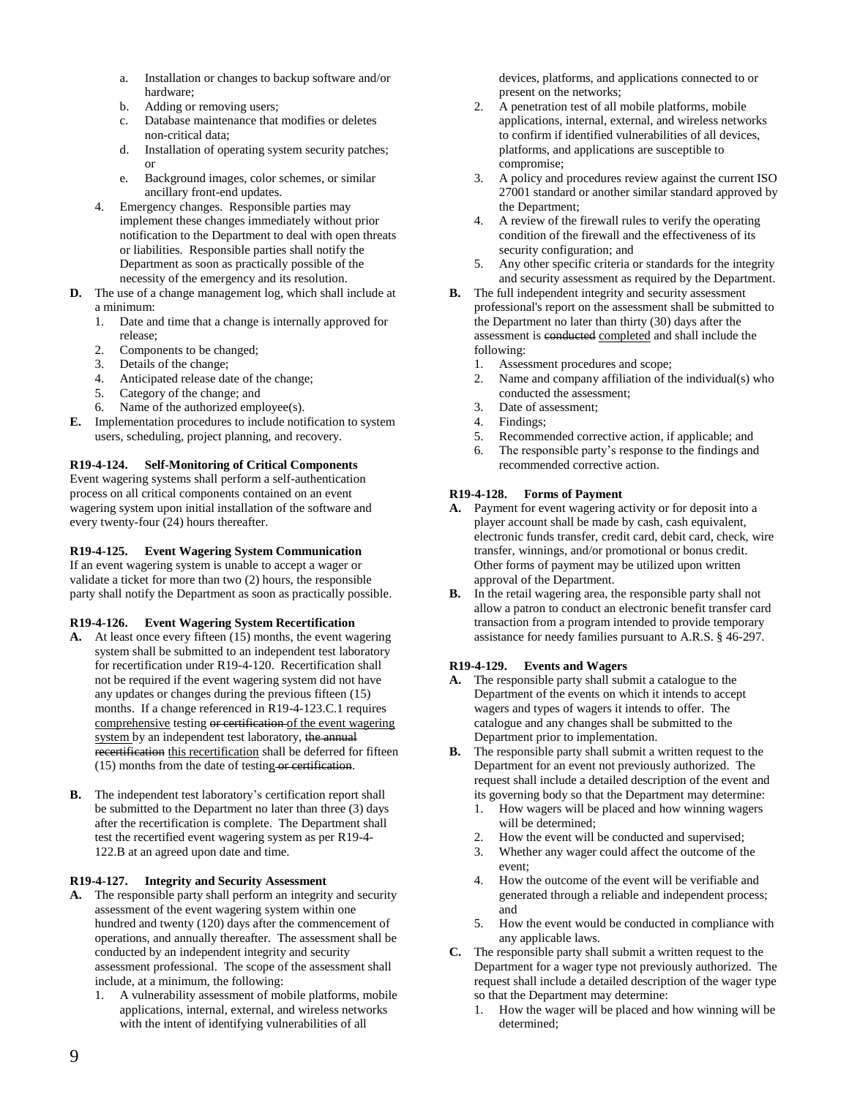- a. Installation or changes to backup software and/or hardware;
- b. Adding or removing users;
- c. Database maintenance that modifies or deletes non-critical data;
- d. Installation of operating system security patches; or
- e. Background images, color schemes, or similar ancillary front-end updates.
- 4. Emergency changes. Responsible parties may implement these changes immediately without prior notification to the Department to deal with open threats or liabilities. Responsible parties shall notify the Department as soon as practically possible of the necessity of the emergency and its resolution.
- **D.** The use of a change management log, which shall include at a minimum:
	- 1. Date and time that a change is internally approved for release;
	- 2. Components to be changed;
	- 3. Details of the change;
	- 4. Anticipated release date of the change;
	- 5. Category of the change; and
	- 6. Name of the authorized employee(s).
- **E.** Implementation procedures to include notification to system users, scheduling, project planning, and recovery.

# **R19-4-124. Self-Monitoring of Critical Components**

Event wagering systems shall perform a self-authentication process on all critical components contained on an event wagering system upon initial installation of the software and every twenty-four (24) hours thereafter.

## **R19-4-125. Event Wagering System Communication**

If an event wagering system is unable to accept a wager or validate a ticket for more than two (2) hours, the responsible party shall notify the Department as soon as practically possible.

# **R19-4-126. Event Wagering System Recertification**

- **A.** At least once every fifteen (15) months, the event wagering system shall be submitted to an independent test laboratory for recertification under R19-4-120. Recertification shall not be required if the event wagering system did not have any updates or changes during the previous fifteen (15) months. If a change referenced in R19-4-123.C.1 requires comprehensive testing or certification of the event wagering system by an independent test laboratory, the annual recertification this recertification shall be deferred for fifteen  $(15)$  months from the date of testing or certification.
- **B.** The independent test laboratory's certification report shall be submitted to the Department no later than three (3) days after the recertification is complete. The Department shall test the recertified event wagering system as per R19-4- 122.B at an agreed upon date and time.

## **R19-4-127. Integrity and Security Assessment**

- **A.** The responsible party shall perform an integrity and security assessment of the event wagering system within one hundred and twenty (120) days after the commencement of operations, and annually thereafter. The assessment shall be conducted by an independent integrity and security assessment professional. The scope of the assessment shall include, at a minimum, the following:
	- 1. A vulnerability assessment of mobile platforms, mobile applications, internal, external, and wireless networks with the intent of identifying vulnerabilities of all

devices, platforms, and applications connected to or present on the networks;

- 2. A penetration test of all mobile platforms, mobile applications, internal, external, and wireless networks to confirm if identified vulnerabilities of all devices, platforms, and applications are susceptible to compromise;
- 3. A policy and procedures review against the current ISO 27001 standard or another similar standard approved by the Department;
- 4. A review of the firewall rules to verify the operating condition of the firewall and the effectiveness of its security configuration; and
- 5. Any other specific criteria or standards for the integrity and security assessment as required by the Department.
- **B.** The full independent integrity and security assessment professional's report on the assessment shall be submitted to the Department no later than thirty (30) days after the assessment is conducted completed and shall include the following:
	- 1. Assessment procedures and scope;
	- 2. Name and company affiliation of the individual(s) who conducted the assessment;
	- 3. Date of assessment;
	- 4. Findings;
	- 5. Recommended corrective action, if applicable; and
	- 6. The responsible party's response to the findings and recommended corrective action.

## **R19-4-128. Forms of Payment**

- **A.** Payment for event wagering activity or for deposit into a player account shall be made by cash, cash equivalent, electronic funds transfer, credit card, debit card, check, wire transfer, winnings, and/or promotional or bonus credit. Other forms of payment may be utilized upon written approval of the Department.
- **B.** In the retail wagering area, the responsible party shall not allow a patron to conduct an electronic benefit transfer card transaction from a program intended to provide temporary assistance for needy families pursuant to A.R.S. § 46-297.

# **R19-4-129. Events and Wagers**

- **A.** The responsible party shall submit a catalogue to the Department of the events on which it intends to accept wagers and types of wagers it intends to offer. The catalogue and any changes shall be submitted to the Department prior to implementation.
- **B.** The responsible party shall submit a written request to the Department for an event not previously authorized. The request shall include a detailed description of the event and its governing body so that the Department may determine:
	- 1. How wagers will be placed and how winning wagers will be determined;
	- How the event will be conducted and supervised;
	- 3. Whether any wager could affect the outcome of the event;
	- 4. How the outcome of the event will be verifiable and generated through a reliable and independent process; and
	- 5. How the event would be conducted in compliance with any applicable laws.
- **C.** The responsible party shall submit a written request to the Department for a wager type not previously authorized. The request shall include a detailed description of the wager type so that the Department may determine:
	- 1. How the wager will be placed and how winning will be determined;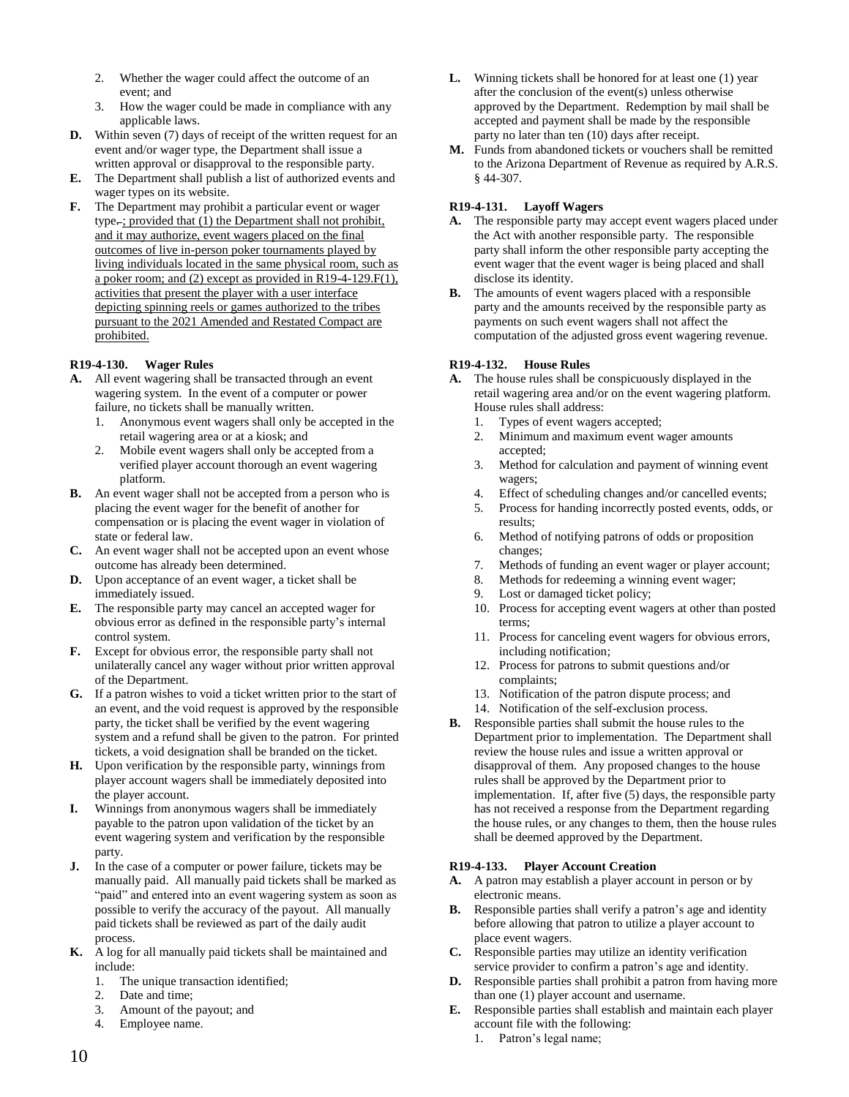- 2. Whether the wager could affect the outcome of an event; and
- 3. How the wager could be made in compliance with any applicable laws.
- **D.** Within seven (7) days of receipt of the written request for an event and/or wager type, the Department shall issue a written approval or disapproval to the responsible party.
- **E.** The Department shall publish a list of authorized events and wager types on its website.
- **F.** The Department may prohibit a particular event or wager type-; provided that (1) the Department shall not prohibit, and it may authorize, event wagers placed on the final outcomes of live in-person poker tournaments played by living individuals located in the same physical room, such as a poker room; and (2) except as provided in R19-4-129.F(1), activities that present the player with a user interface depicting spinning reels or games authorized to the tribes pursuant to the 2021 Amended and Restated Compact are prohibited.

## **R19-4-130. Wager Rules**

- **A.** All event wagering shall be transacted through an event wagering system. In the event of a computer or power failure, no tickets shall be manually written.
	- 1. Anonymous event wagers shall only be accepted in the retail wagering area or at a kiosk; and
	- 2. Mobile event wagers shall only be accepted from a verified player account thorough an event wagering platform.
- **B.** An event wager shall not be accepted from a person who is placing the event wager for the benefit of another for compensation or is placing the event wager in violation of state or federal law.
- **C.** An event wager shall not be accepted upon an event whose outcome has already been determined.
- **D.** Upon acceptance of an event wager, a ticket shall be immediately issued.
- **E.** The responsible party may cancel an accepted wager for obvious error as defined in the responsible party's internal control system.
- **F.** Except for obvious error, the responsible party shall not unilaterally cancel any wager without prior written approval of the Department.
- **G.** If a patron wishes to void a ticket written prior to the start of an event, and the void request is approved by the responsible party, the ticket shall be verified by the event wagering system and a refund shall be given to the patron. For printed tickets, a void designation shall be branded on the ticket.
- **H.** Upon verification by the responsible party, winnings from player account wagers shall be immediately deposited into the player account.
- **I.** Winnings from anonymous wagers shall be immediately payable to the patron upon validation of the ticket by an event wagering system and verification by the responsible party.
- **J.** In the case of a computer or power failure, tickets may be manually paid. All manually paid tickets shall be marked as "paid" and entered into an event wagering system as soon as possible to verify the accuracy of the payout. All manually paid tickets shall be reviewed as part of the daily audit process.
- **K.** A log for all manually paid tickets shall be maintained and include:
	- 1. The unique transaction identified;
	- 2. Date and time;
	- 3. Amount of the payout; and
	- 4. Employee name.
- **L.** Winning tickets shall be honored for at least one (1) year after the conclusion of the event(s) unless otherwise approved by the Department. Redemption by mail shall be accepted and payment shall be made by the responsible party no later than ten (10) days after receipt.
- **M.** Funds from abandoned tickets or vouchers shall be remitted to the Arizona Department of Revenue as required by A.R.S. § 44-307.

## **R19-4-131. Layoff Wagers**

- **A.** The responsible party may accept event wagers placed under the Act with another responsible party. The responsible party shall inform the other responsible party accepting the event wager that the event wager is being placed and shall disclose its identity.
- **B.** The amounts of event wagers placed with a responsible party and the amounts received by the responsible party as payments on such event wagers shall not affect the computation of the adjusted gross event wagering revenue.

## **R19-4-132. House Rules**

- **A.** The house rules shall be conspicuously displayed in the retail wagering area and/or on the event wagering platform. House rules shall address:
	- 1. Types of event wagers accepted;
	- 2. Minimum and maximum event wager amounts accepted;
	- 3. Method for calculation and payment of winning event wagers;
	- 4. Effect of scheduling changes and/or cancelled events;
	- 5. Process for handing incorrectly posted events, odds, or results;
	- 6. Method of notifying patrons of odds or proposition changes;
	- 7. Methods of funding an event wager or player account;
	- 8. Methods for redeeming a winning event wager;
	- 9. Lost or damaged ticket policy;
	- 10. Process for accepting event wagers at other than posted terms;
	- 11. Process for canceling event wagers for obvious errors, including notification;
	- 12. Process for patrons to submit questions and/or complaints;
	- 13. Notification of the patron dispute process; and
	- 14. Notification of the self-exclusion process.
- **B.** Responsible parties shall submit the house rules to the Department prior to implementation. The Department shall review the house rules and issue a written approval or disapproval of them. Any proposed changes to the house rules shall be approved by the Department prior to implementation. If, after five (5) days, the responsible party has not received a response from the Department regarding the house rules, or any changes to them, then the house rules shall be deemed approved by the Department.

## **R19-4-133. Player Account Creation**

- **A.** A patron may establish a player account in person or by electronic means.
- **B.** Responsible parties shall verify a patron's age and identity before allowing that patron to utilize a player account to place event wagers.
- **C.** Responsible parties may utilize an identity verification service provider to confirm a patron's age and identity.
- **D.** Responsible parties shall prohibit a patron from having more than one (1) player account and username.
- **E.** Responsible parties shall establish and maintain each player account file with the following:
	- 1. Patron's legal name;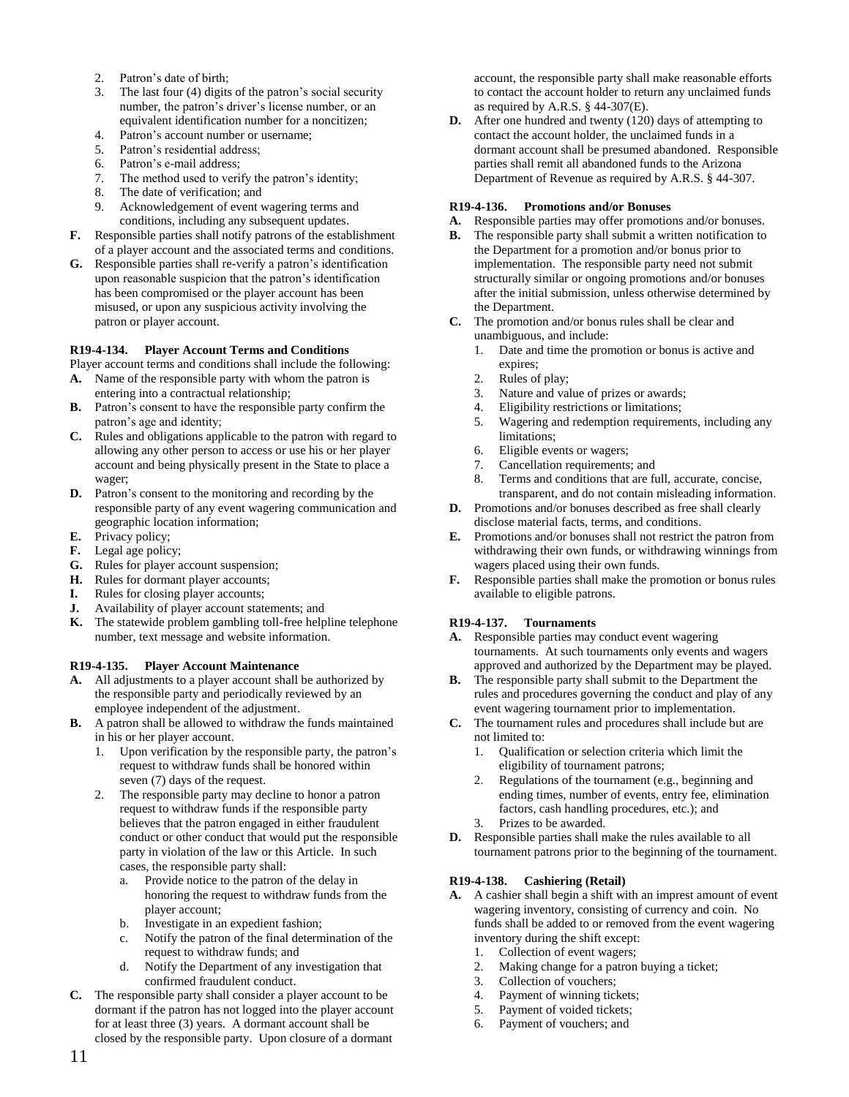- 2. Patron's date of birth;
- 3. The last four (4) digits of the patron's social security number, the patron's driver's license number, or an equivalent identification number for a noncitizen;
- 4. Patron's account number or username;
- 5. Patron's residential address;
- 6. Patron's e-mail address;
- 7. The method used to verify the patron's identity;
- 8. The date of verification; and
- 9. Acknowledgement of event wagering terms and conditions, including any subsequent updates.
- **F.** Responsible parties shall notify patrons of the establishment of a player account and the associated terms and conditions.
- **G.** Responsible parties shall re-verify a patron's identification upon reasonable suspicion that the patron's identification has been compromised or the player account has been misused, or upon any suspicious activity involving the patron or player account.

## **R19-4-134. Player Account Terms and Conditions**

- Player account terms and conditions shall include the following:
- **A.** Name of the responsible party with whom the patron is entering into a contractual relationship;
- **B.** Patron's consent to have the responsible party confirm the patron's age and identity;
- **C.** Rules and obligations applicable to the patron with regard to allowing any other person to access or use his or her player account and being physically present in the State to place a wager;
- **D.** Patron's consent to the monitoring and recording by the responsible party of any event wagering communication and geographic location information;
- **E.** Privacy policy;
- **F.** Legal age policy;
- **G.** Rules for player account suspension;
- **H.** Rules for dormant player accounts;
- **I.** Rules for closing player accounts;
- **J.** Availability of player account statements; and
- **K.** The statewide problem gambling toll-free helpline telephone number, text message and website information.

# **R19-4-135. Player Account Maintenance**

- **A.** All adjustments to a player account shall be authorized by the responsible party and periodically reviewed by an employee independent of the adjustment.
- **B.** A patron shall be allowed to withdraw the funds maintained in his or her player account.
	- 1. Upon verification by the responsible party, the patron's request to withdraw funds shall be honored within seven (7) days of the request.
	- 2. The responsible party may decline to honor a patron request to withdraw funds if the responsible party believes that the patron engaged in either fraudulent conduct or other conduct that would put the responsible party in violation of the law or this Article. In such cases, the responsible party shall:
		- a. Provide notice to the patron of the delay in honoring the request to withdraw funds from the player account;
		- b. Investigate in an expedient fashion;
		- c. Notify the patron of the final determination of the request to withdraw funds; and
		- d. Notify the Department of any investigation that confirmed fraudulent conduct.
- **C.** The responsible party shall consider a player account to be dormant if the patron has not logged into the player account for at least three (3) years. A dormant account shall be closed by the responsible party. Upon closure of a dormant

account, the responsible party shall make reasonable efforts to contact the account holder to return any unclaimed funds as required by A.R.S. § 44-307(E).

**D.** After one hundred and twenty (120) days of attempting to contact the account holder, the unclaimed funds in a dormant account shall be presumed abandoned. Responsible parties shall remit all abandoned funds to the Arizona Department of Revenue as required by A.R.S. § 44-307.

## **R19-4-136. Promotions and/or Bonuses**

- **A.** Responsible parties may offer promotions and/or bonuses.
- **B.** The responsible party shall submit a written notification to the Department for a promotion and/or bonus prior to implementation. The responsible party need not submit structurally similar or ongoing promotions and/or bonuses after the initial submission, unless otherwise determined by the Department.
- **C.** The promotion and/or bonus rules shall be clear and unambiguous, and include:
	- 1. Date and time the promotion or bonus is active and expires;
	- 2. Rules of play;
	- 3. Nature and value of prizes or awards;
	- 4. Eligibility restrictions or limitations;
	- 5. Wagering and redemption requirements, including any limitations;
	- 6. Eligible events or wagers;
	- 7. Cancellation requirements; and
	- 8. Terms and conditions that are full, accurate, concise, transparent, and do not contain misleading information.
- **D.** Promotions and/or bonuses described as free shall clearly disclose material facts, terms, and conditions.
- **E.** Promotions and/or bonuses shall not restrict the patron from withdrawing their own funds, or withdrawing winnings from wagers placed using their own funds.
- **F.** Responsible parties shall make the promotion or bonus rules available to eligible patrons.

# **R19-4-137. Tournaments**

- **A.** Responsible parties may conduct event wagering tournaments. At such tournaments only events and wagers approved and authorized by the Department may be played.
- **B.** The responsible party shall submit to the Department the rules and procedures governing the conduct and play of any event wagering tournament prior to implementation.
- **C.** The tournament rules and procedures shall include but are not limited to:
	- 1. Qualification or selection criteria which limit the eligibility of tournament patrons;
	- 2. Regulations of the tournament (e.g., beginning and ending times, number of events, entry fee, elimination factors, cash handling procedures, etc.); and
	- Prizes to be awarded.
- **D.** Responsible parties shall make the rules available to all tournament patrons prior to the beginning of the tournament.

# **R19-4-138. Cashiering (Retail)**

- **A.** A cashier shall begin a shift with an imprest amount of event wagering inventory, consisting of currency and coin. No funds shall be added to or removed from the event wagering inventory during the shift except:
	- 1. Collection of event wagers;
	- 2. Making change for a patron buying a ticket;
	- 3. Collection of vouchers;
	- 4. Payment of winning tickets;
	- 5. Payment of voided tickets;
	- 6. Payment of vouchers; and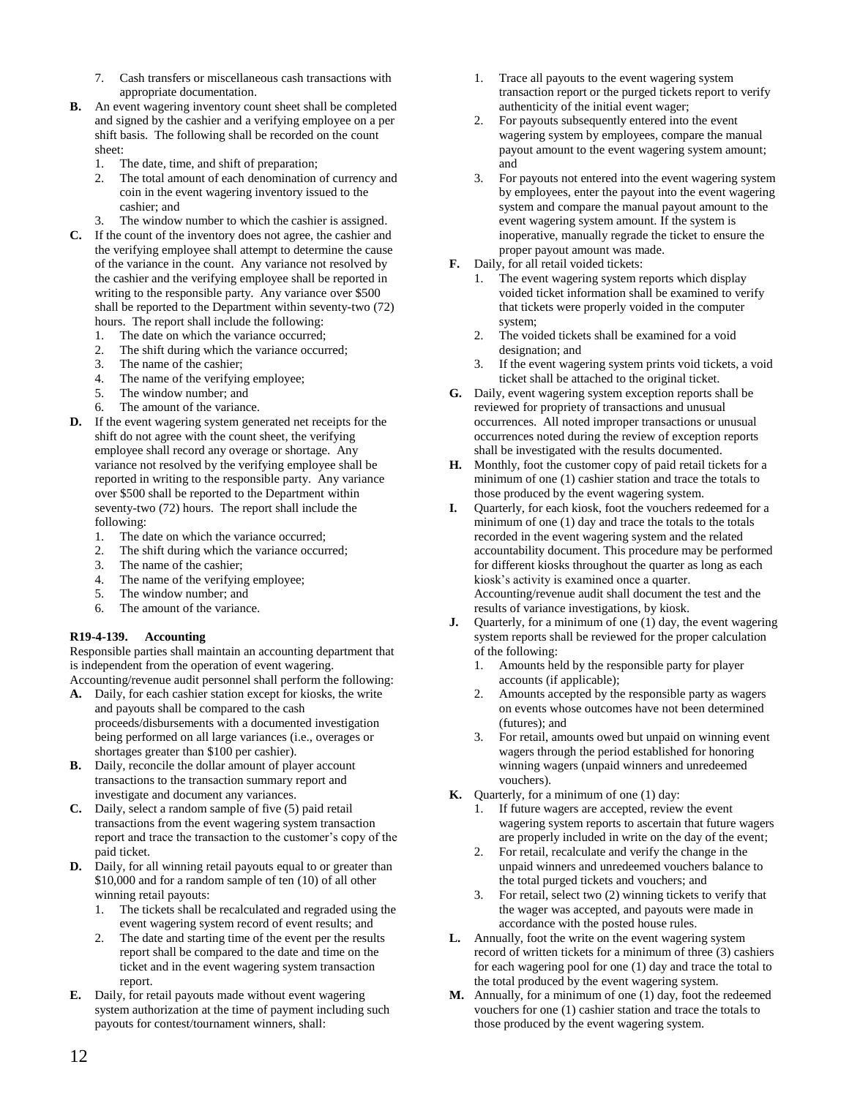- 7. Cash transfers or miscellaneous cash transactions with appropriate documentation.
- **B.** An event wagering inventory count sheet shall be completed and signed by the cashier and a verifying employee on a per shift basis. The following shall be recorded on the count sheet:
	- 1. The date, time, and shift of preparation;
	- 2. The total amount of each denomination of currency and coin in the event wagering inventory issued to the cashier; and
	- 3. The window number to which the cashier is assigned.
- **C.** If the count of the inventory does not agree, the cashier and the verifying employee shall attempt to determine the cause of the variance in the count. Any variance not resolved by the cashier and the verifying employee shall be reported in writing to the responsible party. Any variance over \$500 shall be reported to the Department within seventy-two (72) hours. The report shall include the following:
	- 1. The date on which the variance occurred;
	- 2. The shift during which the variance occurred;
	- 3. The name of the cashier;
	- 4. The name of the verifying employee;
	- 5. The window number; and
	- 6. The amount of the variance.
- **D.** If the event wagering system generated net receipts for the shift do not agree with the count sheet, the verifying employee shall record any overage or shortage. Any variance not resolved by the verifying employee shall be reported in writing to the responsible party. Any variance over \$500 shall be reported to the Department within seventy-two (72) hours. The report shall include the following:
	- 1. The date on which the variance occurred;
	- 2. The shift during which the variance occurred;
	- 3. The name of the cashier;
	- 4. The name of the verifying employee;
	- 5. The window number; and
	- 6. The amount of the variance.

## **R19-4-139. Accounting**

Responsible parties shall maintain an accounting department that is independent from the operation of event wagering. Accounting/revenue audit personnel shall perform the following:

- **A.** Daily, for each cashier station except for kiosks, the write and payouts shall be compared to the cash proceeds/disbursements with a documented investigation being performed on all large variances (i.e., overages or shortages greater than \$100 per cashier).
- **B.** Daily, reconcile the dollar amount of player account transactions to the transaction summary report and investigate and document any variances.
- **C.** Daily, select a random sample of five (5) paid retail transactions from the event wagering system transaction report and trace the transaction to the customer's copy of the paid ticket.
- **D.** Daily, for all winning retail payouts equal to or greater than \$10,000 and for a random sample of ten (10) of all other winning retail payouts:
	- 1. The tickets shall be recalculated and regraded using the event wagering system record of event results; and
	- 2. The date and starting time of the event per the results report shall be compared to the date and time on the ticket and in the event wagering system transaction report.
- **E.** Daily, for retail payouts made without event wagering system authorization at the time of payment including such payouts for contest/tournament winners, shall:
- 1. Trace all payouts to the event wagering system transaction report or the purged tickets report to verify authenticity of the initial event wager;
- 2. For payouts subsequently entered into the event wagering system by employees, compare the manual payout amount to the event wagering system amount; and
- 3. For payouts not entered into the event wagering system by employees, enter the payout into the event wagering system and compare the manual payout amount to the event wagering system amount. If the system is inoperative, manually regrade the ticket to ensure the proper payout amount was made.
- **F.** Daily, for all retail voided tickets:
	- 1. The event wagering system reports which display voided ticket information shall be examined to verify that tickets were properly voided in the computer system;
	- 2. The voided tickets shall be examined for a void designation; and
	- 3. If the event wagering system prints void tickets, a void ticket shall be attached to the original ticket.
- **G.** Daily, event wagering system exception reports shall be reviewed for propriety of transactions and unusual occurrences. All noted improper transactions or unusual occurrences noted during the review of exception reports shall be investigated with the results documented.
- **H.** Monthly, foot the customer copy of paid retail tickets for a minimum of one (1) cashier station and trace the totals to those produced by the event wagering system.
- **I.** Quarterly, for each kiosk, foot the vouchers redeemed for a minimum of one (1) day and trace the totals to the totals recorded in the event wagering system and the related accountability document. This procedure may be performed for different kiosks throughout the quarter as long as each kiosk's activity is examined once a quarter. Accounting/revenue audit shall document the test and the results of variance investigations, by kiosk.
- **J.** Quarterly, for a minimum of one (1) day, the event wagering system reports shall be reviewed for the proper calculation of the following:
	- 1. Amounts held by the responsible party for player accounts (if applicable);
	- Amounts accepted by the responsible party as wagers on events whose outcomes have not been determined (futures); and
	- 3. For retail, amounts owed but unpaid on winning event wagers through the period established for honoring winning wagers (unpaid winners and unredeemed vouchers).
- **K.** Quarterly, for a minimum of one (1) day:
	- 1. If future wagers are accepted, review the event wagering system reports to ascertain that future wagers are properly included in write on the day of the event;
	- 2. For retail, recalculate and verify the change in the unpaid winners and unredeemed vouchers balance to the total purged tickets and vouchers; and
	- 3. For retail, select two (2) winning tickets to verify that the wager was accepted, and payouts were made in accordance with the posted house rules.
- **L.** Annually, foot the write on the event wagering system record of written tickets for a minimum of three (3) cashiers for each wagering pool for one (1) day and trace the total to the total produced by the event wagering system.
- **M.** Annually, for a minimum of one (1) day, foot the redeemed vouchers for one (1) cashier station and trace the totals to those produced by the event wagering system.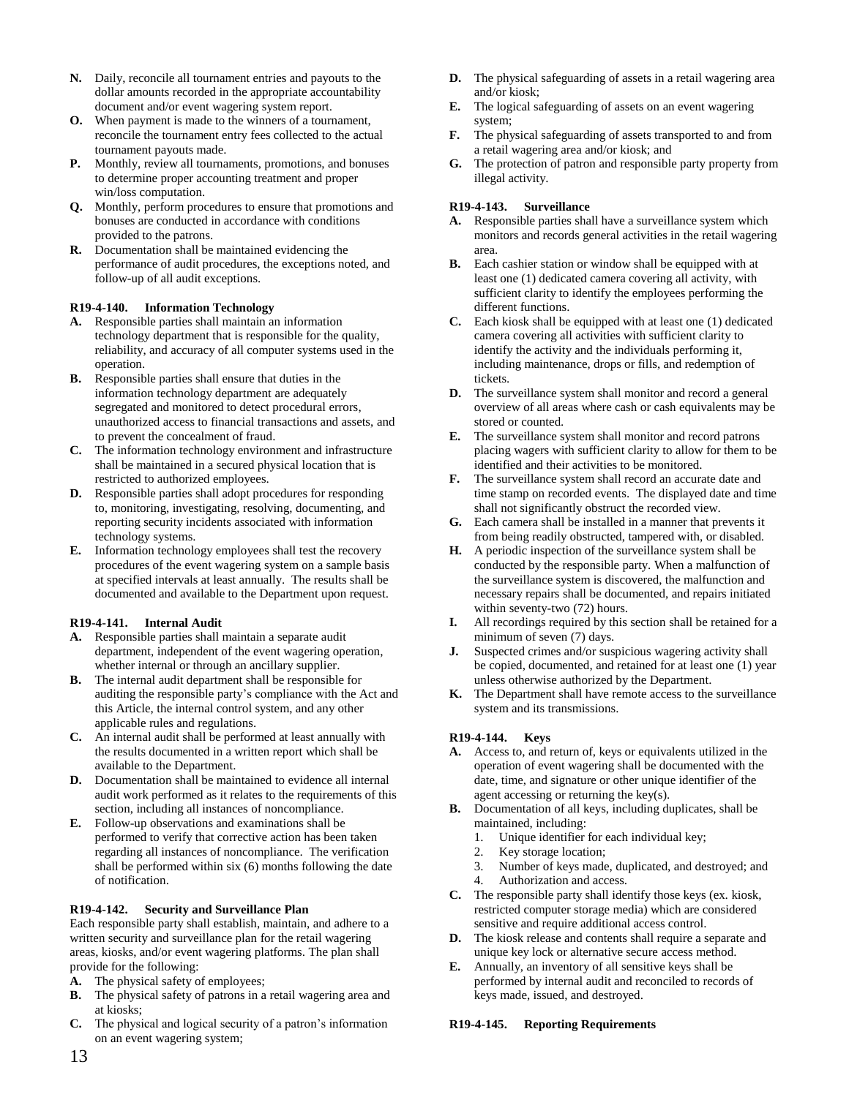- **N.** Daily, reconcile all tournament entries and payouts to the dollar amounts recorded in the appropriate accountability document and/or event wagering system report.
- **O.** When payment is made to the winners of a tournament, reconcile the tournament entry fees collected to the actual tournament payouts made.
- **P.** Monthly, review all tournaments, promotions, and bonuses to determine proper accounting treatment and proper win/loss computation.
- **Q.** Monthly, perform procedures to ensure that promotions and bonuses are conducted in accordance with conditions provided to the patrons.
- **R.** Documentation shall be maintained evidencing the performance of audit procedures, the exceptions noted, and follow-up of all audit exceptions.

## **R19-4-140. Information Technology**

- **A.** Responsible parties shall maintain an information technology department that is responsible for the quality, reliability, and accuracy of all computer systems used in the operation.
- **B.** Responsible parties shall ensure that duties in the information technology department are adequately segregated and monitored to detect procedural errors, unauthorized access to financial transactions and assets, and to prevent the concealment of fraud.
- **C.** The information technology environment and infrastructure shall be maintained in a secured physical location that is restricted to authorized employees.
- **D.** Responsible parties shall adopt procedures for responding to, monitoring, investigating, resolving, documenting, and reporting security incidents associated with information technology systems.
- **E.** Information technology employees shall test the recovery procedures of the event wagering system on a sample basis at specified intervals at least annually. The results shall be documented and available to the Department upon request.

#### **R19-4-141. Internal Audit**

- **A.** Responsible parties shall maintain a separate audit department, independent of the event wagering operation, whether internal or through an ancillary supplier.
- **B.** The internal audit department shall be responsible for auditing the responsible party's compliance with the Act and this Article, the internal control system, and any other applicable rules and regulations.
- **C.** An internal audit shall be performed at least annually with the results documented in a written report which shall be available to the Department.
- **D.** Documentation shall be maintained to evidence all internal audit work performed as it relates to the requirements of this section, including all instances of noncompliance.
- **E.** Follow-up observations and examinations shall be performed to verify that corrective action has been taken regarding all instances of noncompliance. The verification shall be performed within six (6) months following the date of notification.

## **R19-4-142. Security and Surveillance Plan**

Each responsible party shall establish, maintain, and adhere to a written security and surveillance plan for the retail wagering areas, kiosks, and/or event wagering platforms. The plan shall provide for the following:

- **A.** The physical safety of employees;
- **B.** The physical safety of patrons in a retail wagering area and at kiosks;
- **C.** The physical and logical security of a patron's information on an event wagering system;
- **D.** The physical safeguarding of assets in a retail wagering area and/or kiosk;
- **E.** The logical safeguarding of assets on an event wagering system;
- **F.** The physical safeguarding of assets transported to and from a retail wagering area and/or kiosk; and
- **G.** The protection of patron and responsible party property from illegal activity.

## **R19-4-143. Surveillance**

- **A.** Responsible parties shall have a surveillance system which monitors and records general activities in the retail wagering area.
- **B.** Each cashier station or window shall be equipped with at least one (1) dedicated camera covering all activity, with sufficient clarity to identify the employees performing the different functions.
- **C.** Each kiosk shall be equipped with at least one (1) dedicated camera covering all activities with sufficient clarity to identify the activity and the individuals performing it, including maintenance, drops or fills, and redemption of tickets.
- **D.** The surveillance system shall monitor and record a general overview of all areas where cash or cash equivalents may be stored or counted.
- **E.** The surveillance system shall monitor and record patrons placing wagers with sufficient clarity to allow for them to be identified and their activities to be monitored.
- The surveillance system shall record an accurate date and time stamp on recorded events. The displayed date and time shall not significantly obstruct the recorded view.
- **G.** Each camera shall be installed in a manner that prevents it from being readily obstructed, tampered with, or disabled.
- **H.** A periodic inspection of the surveillance system shall be conducted by the responsible party. When a malfunction of the surveillance system is discovered, the malfunction and necessary repairs shall be documented, and repairs initiated within seventy-two (72) hours.
- **I.** All recordings required by this section shall be retained for a minimum of seven (7) days.
- **J.** Suspected crimes and/or suspicious wagering activity shall be copied, documented, and retained for at least one (1) year unless otherwise authorized by the Department.
- **K.** The Department shall have remote access to the surveillance system and its transmissions.

## **R19-4-144. Keys**

- **A.** Access to, and return of, keys or equivalents utilized in the operation of event wagering shall be documented with the date, time, and signature or other unique identifier of the agent accessing or returning the key(s).
- **B.** Documentation of all keys, including duplicates, shall be maintained, including:
	- 1. Unique identifier for each individual key;
	- 2. Key storage location;
	- 3. Number of keys made, duplicated, and destroyed; and
	- 4. Authorization and access.
- **C.** The responsible party shall identify those keys (ex. kiosk, restricted computer storage media) which are considered sensitive and require additional access control.
- **D.** The kiosk release and contents shall require a separate and unique key lock or alternative secure access method.
- **E.** Annually, an inventory of all sensitive keys shall be performed by internal audit and reconciled to records of keys made, issued, and destroyed.

## **R19-4-145. Reporting Requirements**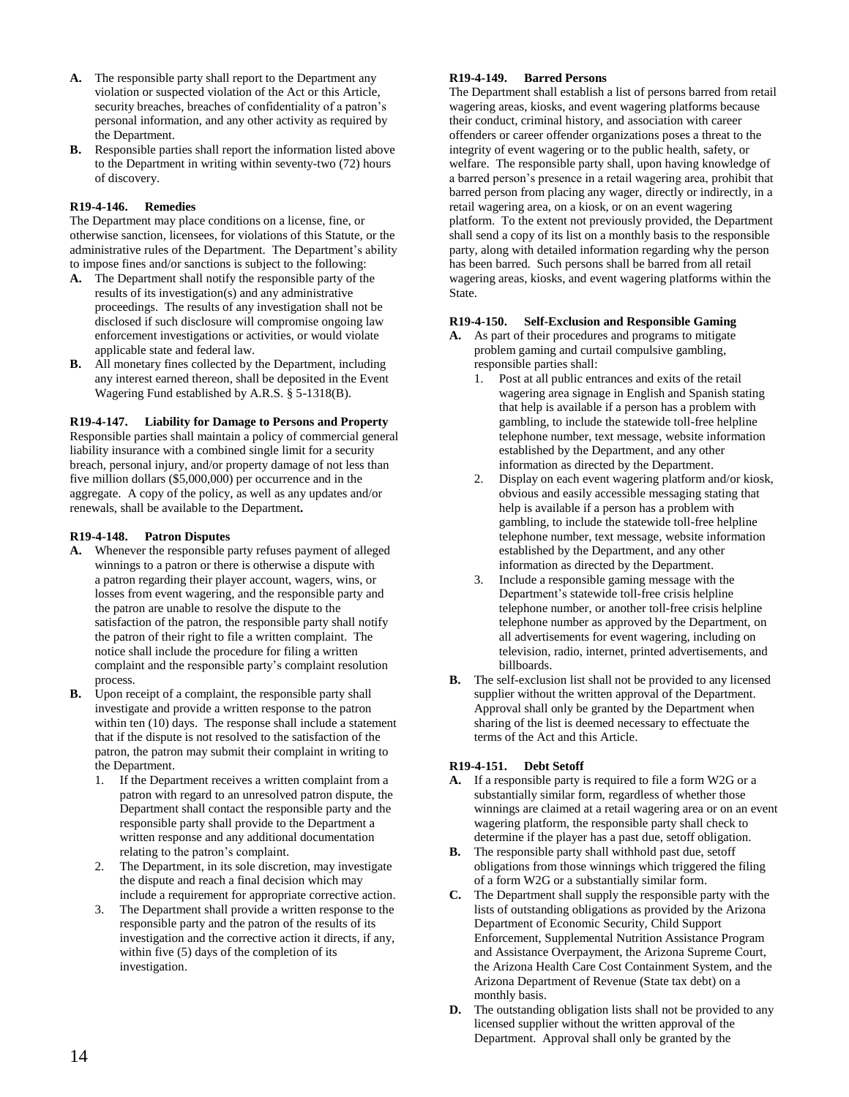- **A.** The responsible party shall report to the Department any violation or suspected violation of the Act or this Article, security breaches, breaches of confidentiality of a patron's personal information, and any other activity as required by the Department.
- **B.** Responsible parties shall report the information listed above to the Department in writing within seventy-two (72) hours of discovery.

## **R19-4-146. Remedies**

The Department may place conditions on a license, fine, or otherwise sanction, licensees, for violations of this Statute, or the administrative rules of the Department. The Department's ability to impose fines and/or sanctions is subject to the following:

- **A.** The Department shall notify the responsible party of the results of its investigation(s) and any administrative proceedings. The results of any investigation shall not be disclosed if such disclosure will compromise ongoing law enforcement investigations or activities, or would violate applicable state and federal law.
- **B.** All monetary fines collected by the Department, including any interest earned thereon, shall be deposited in the Event Wagering Fund established by A.R.S. § 5-1318(B).

**R19-4-147. Liability for Damage to Persons and Property** Responsible parties shall maintain a policy of commercial general liability insurance with a combined single limit for a security breach, personal injury, and/or property damage of not less than five million dollars (\$5,000,000) per occurrence and in the aggregate. A copy of the policy, as well as any updates and/or renewals, shall be available to the Department**.**

## **R19-4-148. Patron Disputes**

- **A.** Whenever the responsible party refuses payment of alleged winnings to a patron or there is otherwise a dispute with a patron regarding their player account, wagers, wins, or losses from event wagering, and the responsible party and the patron are unable to resolve the dispute to the satisfaction of the patron, the responsible party shall notify the patron of their right to file a written complaint. The notice shall include the procedure for filing a written complaint and the responsible party's complaint resolution process.
- **B.** Upon receipt of a complaint, the responsible party shall investigate and provide a written response to the patron within ten (10) days. The response shall include a statement that if the dispute is not resolved to the satisfaction of the patron, the patron may submit their complaint in writing to the Department.
	- 1. If the Department receives a written complaint from a patron with regard to an unresolved patron dispute, the Department shall contact the responsible party and the responsible party shall provide to the Department a written response and any additional documentation relating to the patron's complaint.
	- 2. The Department, in its sole discretion, may investigate the dispute and reach a final decision which may include a requirement for appropriate corrective action.
	- 3. The Department shall provide a written response to the responsible party and the patron of the results of its investigation and the corrective action it directs, if any, within five (5) days of the completion of its investigation.

## **R19-4-149. Barred Persons**

The Department shall establish a list of persons barred from retail wagering areas, kiosks, and event wagering platforms because their conduct, criminal history, and association with career offenders or career offender organizations poses a threat to the integrity of event wagering or to the public health, safety, or welfare. The responsible party shall, upon having knowledge of a barred person's presence in a retail wagering area, prohibit that barred person from placing any wager, directly or indirectly, in a retail wagering area, on a kiosk, or on an event wagering platform. To the extent not previously provided, the Department shall send a copy of its list on a monthly basis to the responsible party, along with detailed information regarding why the person has been barred. Such persons shall be barred from all retail wagering areas, kiosks, and event wagering platforms within the State.

## **R19-4-150. Self-Exclusion and Responsible Gaming**

- **A.** As part of their procedures and programs to mitigate problem gaming and curtail compulsive gambling, responsible parties shall:
	- 1. Post at all public entrances and exits of the retail wagering area signage in English and Spanish stating that help is available if a person has a problem with gambling, to include the statewide toll-free helpline telephone number, text message, website information established by the Department, and any other information as directed by the Department.
	- Display on each event wagering platform and/or kiosk, obvious and easily accessible messaging stating that help is available if a person has a problem with gambling, to include the statewide toll-free helpline telephone number, text message, website information established by the Department, and any other information as directed by the Department.
	- 3. Include a responsible gaming message with the Department's statewide toll-free crisis helpline telephone number, or another toll-free crisis helpline telephone number as approved by the Department, on all advertisements for event wagering, including on television, radio, internet, printed advertisements, and billboards.
- **B.** The self-exclusion list shall not be provided to any licensed supplier without the written approval of the Department. Approval shall only be granted by the Department when sharing of the list is deemed necessary to effectuate the terms of the Act and this Article.

# **R19-4-151. Debt Setoff**

- **A.** If a responsible party is required to file a form W2G or a substantially similar form, regardless of whether those winnings are claimed at a retail wagering area or on an event wagering platform, the responsible party shall check to determine if the player has a past due, setoff obligation.
- **B.** The responsible party shall withhold past due, setoff obligations from those winnings which triggered the filing of a form W2G or a substantially similar form.
- **C.** The Department shall supply the responsible party with the lists of outstanding obligations as provided by the Arizona Department of Economic Security, Child Support Enforcement, Supplemental Nutrition Assistance Program and Assistance Overpayment, the Arizona Supreme Court, the Arizona Health Care Cost Containment System, and the Arizona Department of Revenue (State tax debt) on a monthly basis.
- **D.** The outstanding obligation lists shall not be provided to any licensed supplier without the written approval of the Department. Approval shall only be granted by the